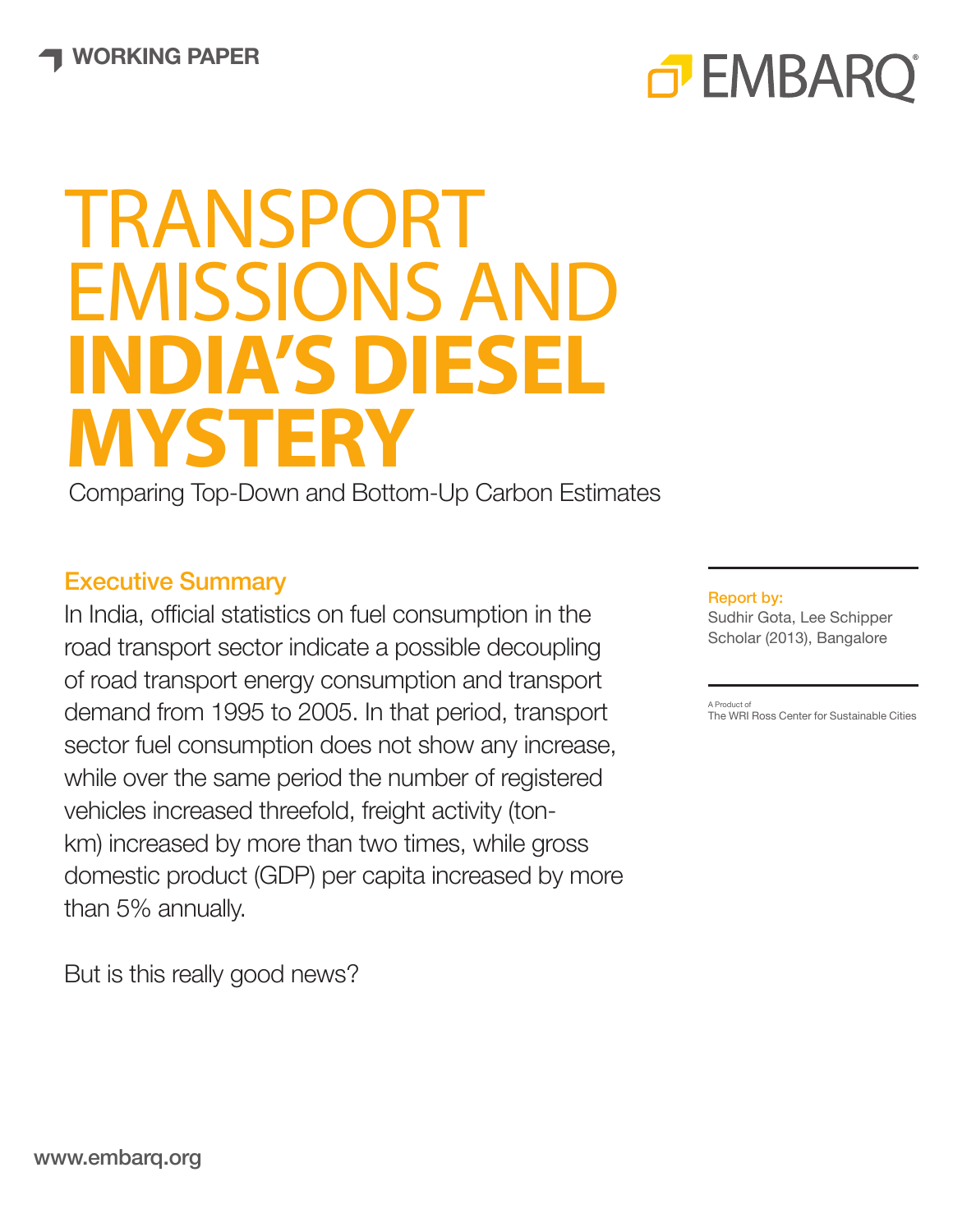# TRANSPORT EMISSIONS AND **INDIA'S DIESEL MYSTERY**

Comparing Top-Down and Bottom-Up Carbon Estimates

### Executive Summary

In India, official statistics on fuel consumption in the road transport sector indicate a possible decoupling of road transport energy consumption and transport demand from 1995 to 2005. In that period, transport sector fuel consumption does not show any increase, while over the same period the number of registered vehicles increased threefold, freight activity (tonkm) increased by more than two times, while gross domestic product (GDP) per capita increased by more than 5% annually.

But is this really good news?

#### Report by:

o EMBARC

Sudhir Gota, Lee Schipper Scholar (2013), Bangalore

A Product of The WRI Ross Center for Sustainable Cities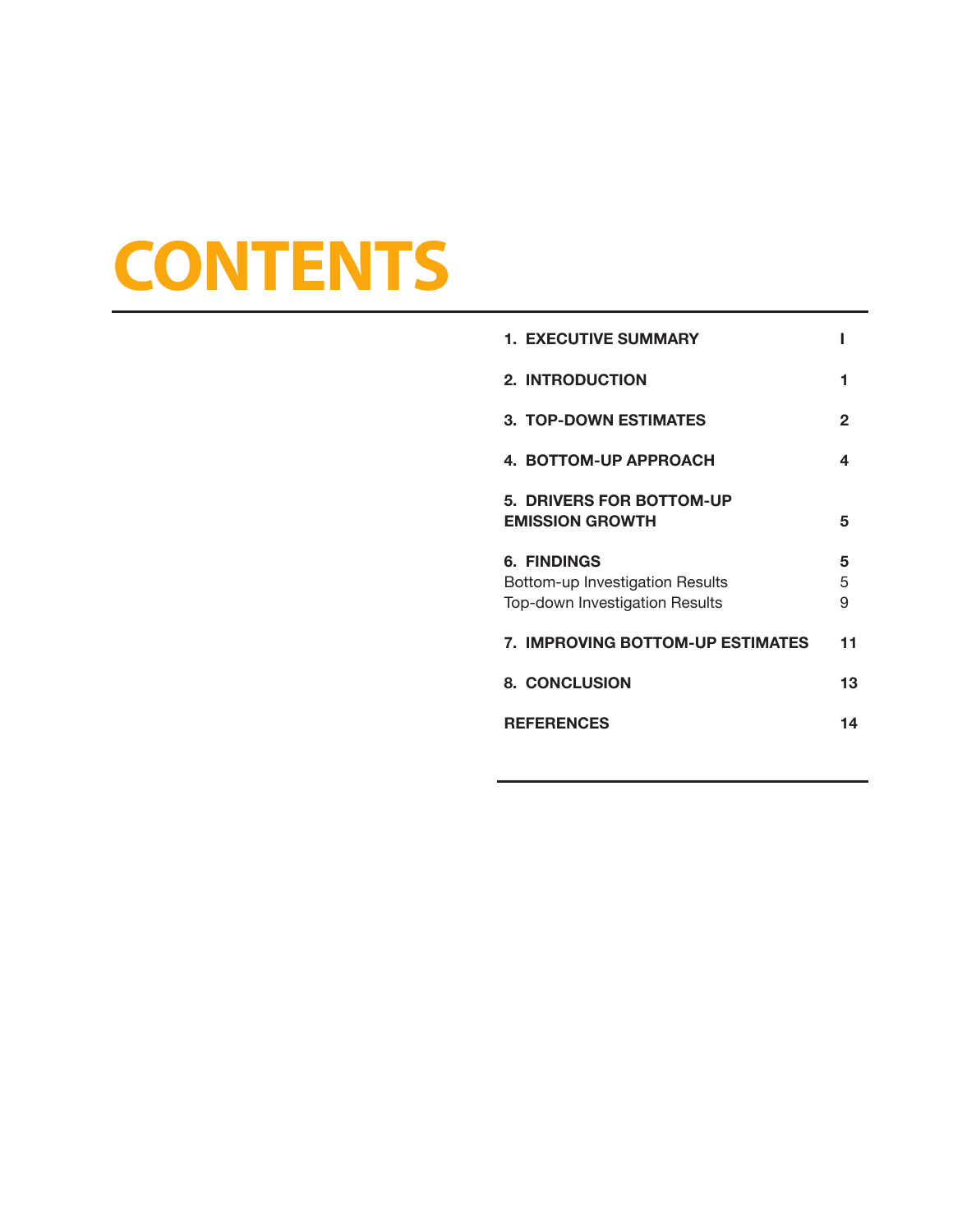## **CONTENTS**

| <b>1. EXECUTIVE SUMMARY</b>                                                             |             |
|-----------------------------------------------------------------------------------------|-------------|
| <b>2. INTRODUCTION</b>                                                                  | 1           |
| <b>3. TOP-DOWN ESTIMATES</b>                                                            | 2           |
| 4. BOTTOM-UP APPROACH                                                                   | 4           |
| 5. DRIVERS FOR BOTTOM-UP<br><b>EMISSION GROWTH</b>                                      | 5           |
| <b>6. FINDINGS</b><br>Bottom-up Investigation Results<br>Top-down Investigation Results | 5<br>5<br>9 |
| <b>7. IMPROVING BOTTOM-UP ESTIMATES</b>                                                 | 11          |
| <b>8. CONCLUSION</b>                                                                    | 13          |
| <b>REFERENCES</b>                                                                       | 14          |
|                                                                                         |             |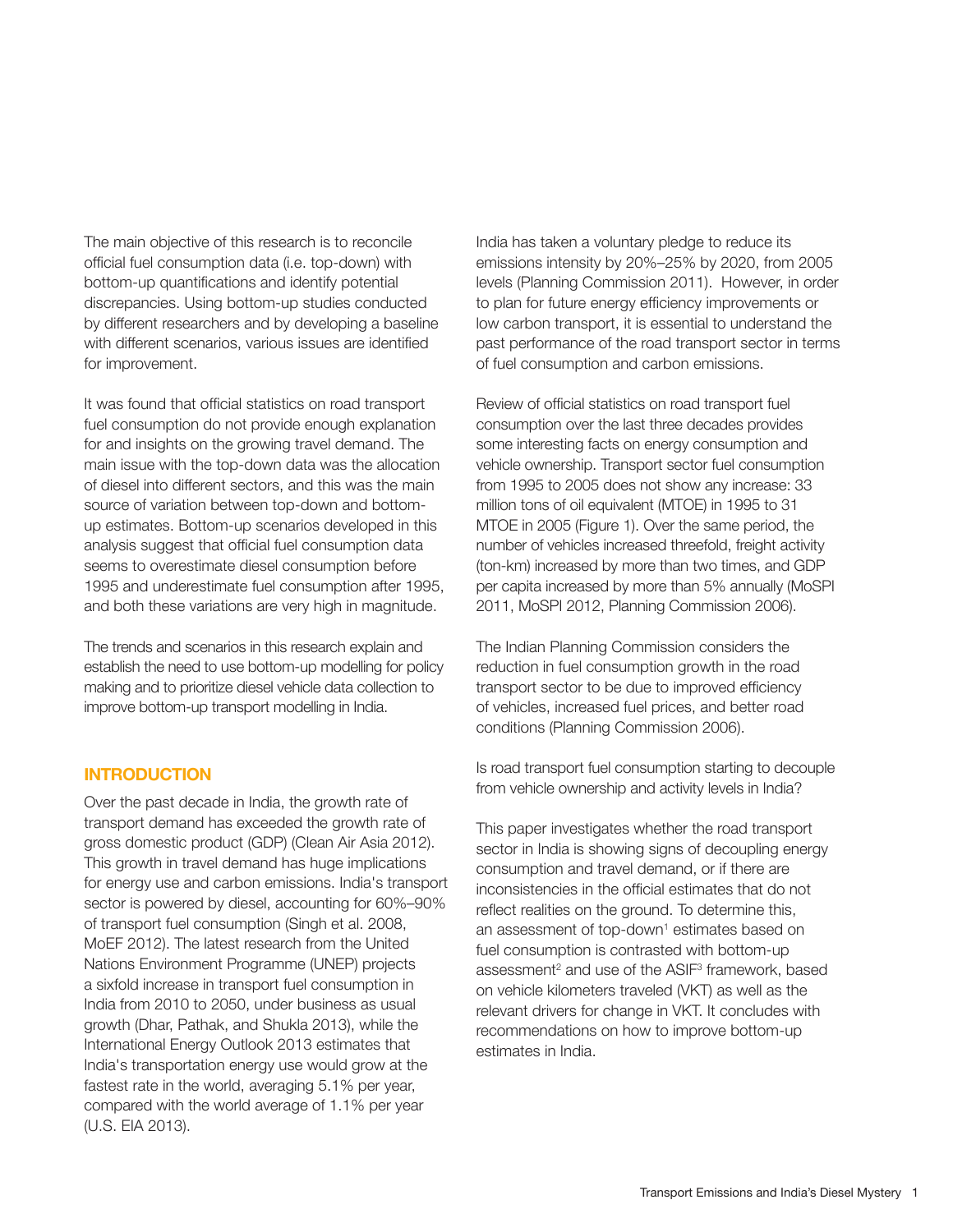The main objective of this research is to reconcile official fuel consumption data (i.e. top-down) with bottom-up quantifications and identify potential discrepancies. Using bottom-up studies conducted by different researchers and by developing a baseline with different scenarios, various issues are identified for improvement.

It was found that official statistics on road transport fuel consumption do not provide enough explanation for and insights on the growing travel demand. The main issue with the top-down data was the allocation of diesel into different sectors, and this was the main source of variation between top-down and bottomup estimates. Bottom-up scenarios developed in this analysis suggest that official fuel consumption data seems to overestimate diesel consumption before 1995 and underestimate fuel consumption after 1995, and both these variations are very high in magnitude.

The trends and scenarios in this research explain and establish the need to use bottom-up modelling for policy making and to prioritize diesel vehicle data collection to improve bottom-up transport modelling in India.

#### **INTRODUCTION**

Over the past decade in India, the growth rate of transport demand has exceeded the growth rate of gross domestic product (GDP) (Clean Air Asia 2012). This growth in travel demand has huge implications for energy use and carbon emissions. India's transport sector is powered by diesel, accounting for 60%–90% of transport fuel consumption (Singh et al. 2008, MoEF 2012). The latest research from the United Nations Environment Programme (UNEP) projects a sixfold increase in transport fuel consumption in India from 2010 to 2050, under business as usual growth (Dhar, Pathak, and Shukla 2013), while the International Energy Outlook 2013 estimates that India's transportation energy use would grow at the fastest rate in the world, averaging 5.1% per year, compared with the world average of 1.1% per year (U.S. EIA 2013).

India has taken a voluntary pledge to reduce its emissions intensity by 20%–25% by 2020, from 2005 levels (Planning Commission 2011). However, in order to plan for future energy efficiency improvements or low carbon transport, it is essential to understand the past performance of the road transport sector in terms of fuel consumption and carbon emissions.

Review of official statistics on road transport fuel consumption over the last three decades provides some interesting facts on energy consumption and vehicle ownership. Transport sector fuel consumption from 1995 to 2005 does not show any increase: 33 million tons of oil equivalent (MTOE) in 1995 to 31 MTOE in 2005 (Figure 1). Over the same period, the number of vehicles increased threefold, freight activity (ton-km) increased by more than two times, and GDP per capita increased by more than 5% annually (MoSPI 2011, MoSPI 2012, Planning Commission 2006).

The Indian Planning Commission considers the reduction in fuel consumption growth in the road transport sector to be due to improved efficiency of vehicles, increased fuel prices, and better road conditions (Planning Commission 2006).

Is road transport fuel consumption starting to decouple from vehicle ownership and activity levels in India?

This paper investigates whether the road transport sector in India is showing signs of decoupling energy consumption and travel demand, or if there are inconsistencies in the official estimates that do not reflect realities on the ground. To determine this, an assessment of top-down<sup>1</sup> estimates based on fuel consumption is contrasted with bottom-up assessment<sup>2</sup> and use of the ASIF<sup>3</sup> framework, based on vehicle kilometers traveled (VKT) as well as the relevant drivers for change in VKT. It concludes with recommendations on how to improve bottom-up estimates in India.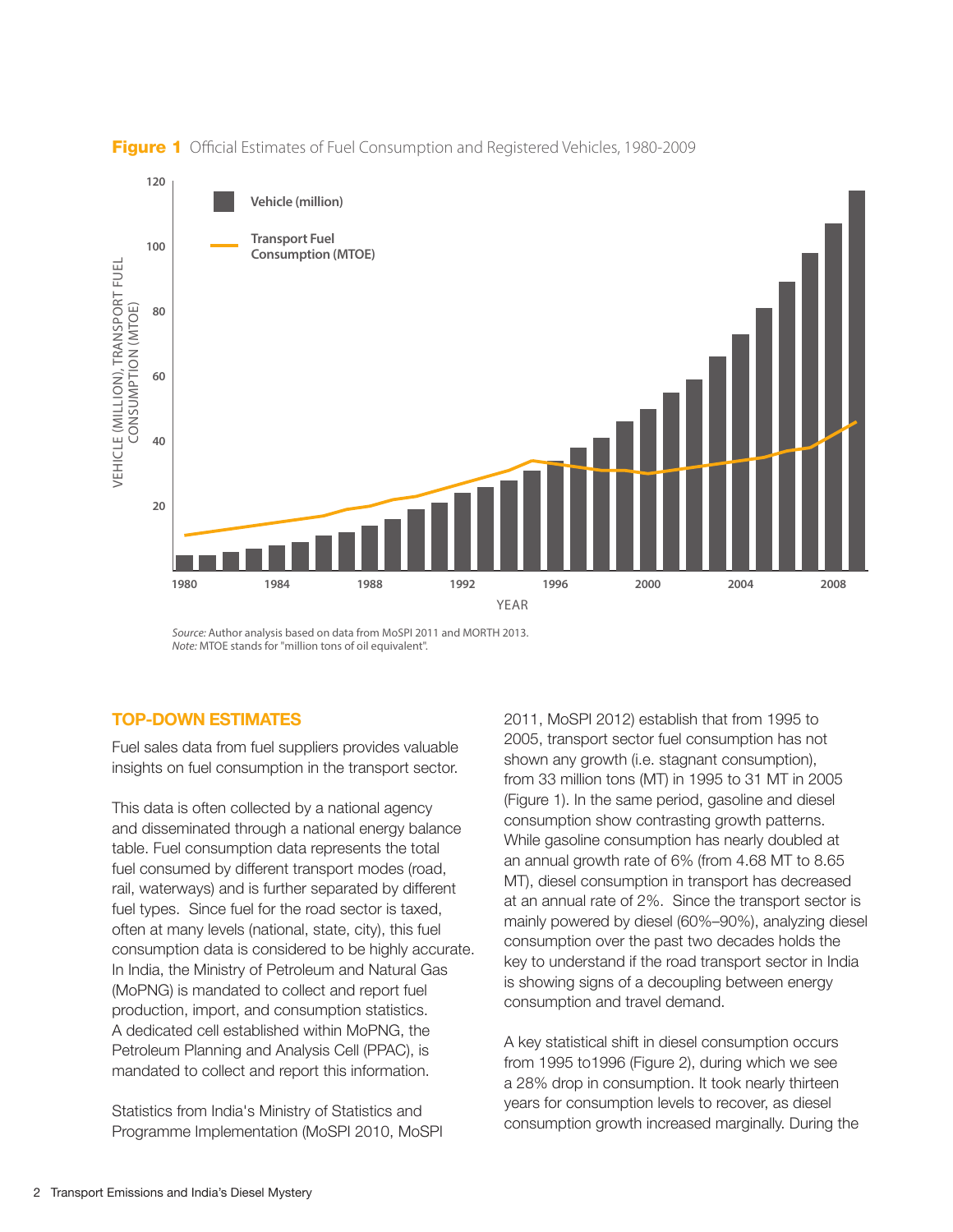

Figure 1 Official Estimates of Fuel Consumption and Registered Vehicles, 1980-2009

#### TOP-DOWN ESTIMATES

Fuel sales data from fuel suppliers provides valuable insights on fuel consumption in the transport sector.

This data is often collected by a national agency and disseminated through a national energy balance table. Fuel consumption data represents the total fuel consumed by different transport modes (road, rail, waterways) and is further separated by different fuel types. Since fuel for the road sector is taxed, often at many levels (national, state, city), this fuel consumption data is considered to be highly accurate. In India, the Ministry of Petroleum and Natural Gas (MoPNG) is mandated to collect and report fuel production, import, and consumption statistics. A dedicated cell established within MoPNG, the Petroleum Planning and Analysis Cell (PPAC), is mandated to collect and report this information.

Statistics from India's Ministry of Statistics and Programme Implementation (MoSPI 2010, MoSPI 2011, MoSPI 2012) establish that from 1995 to 2005, transport sector fuel consumption has not shown any growth (i.e. stagnant consumption), from 33 million tons (MT) in 1995 to 31 MT in 2005 (Figure 1). In the same period, gasoline and diesel consumption show contrasting growth patterns. While gasoline consumption has nearly doubled at an annual growth rate of 6% (from 4.68 MT to 8.65 MT), diesel consumption in transport has decreased at an annual rate of 2%. Since the transport sector is mainly powered by diesel (60%–90%), analyzing diesel consumption over the past two decades holds the key to understand if the road transport sector in India is showing signs of a decoupling between energy consumption and travel demand.

A key statistical shift in diesel consumption occurs from 1995 to1996 (Figure 2), during which we see a 28% drop in consumption. It took nearly thirteen years for consumption levels to recover, as diesel consumption growth increased marginally. During the

*Source:* Author analysis based on data from MoSPI 2011 and MORTH 2013. *Note:* MTOE stands for "million tons of oil equivalent".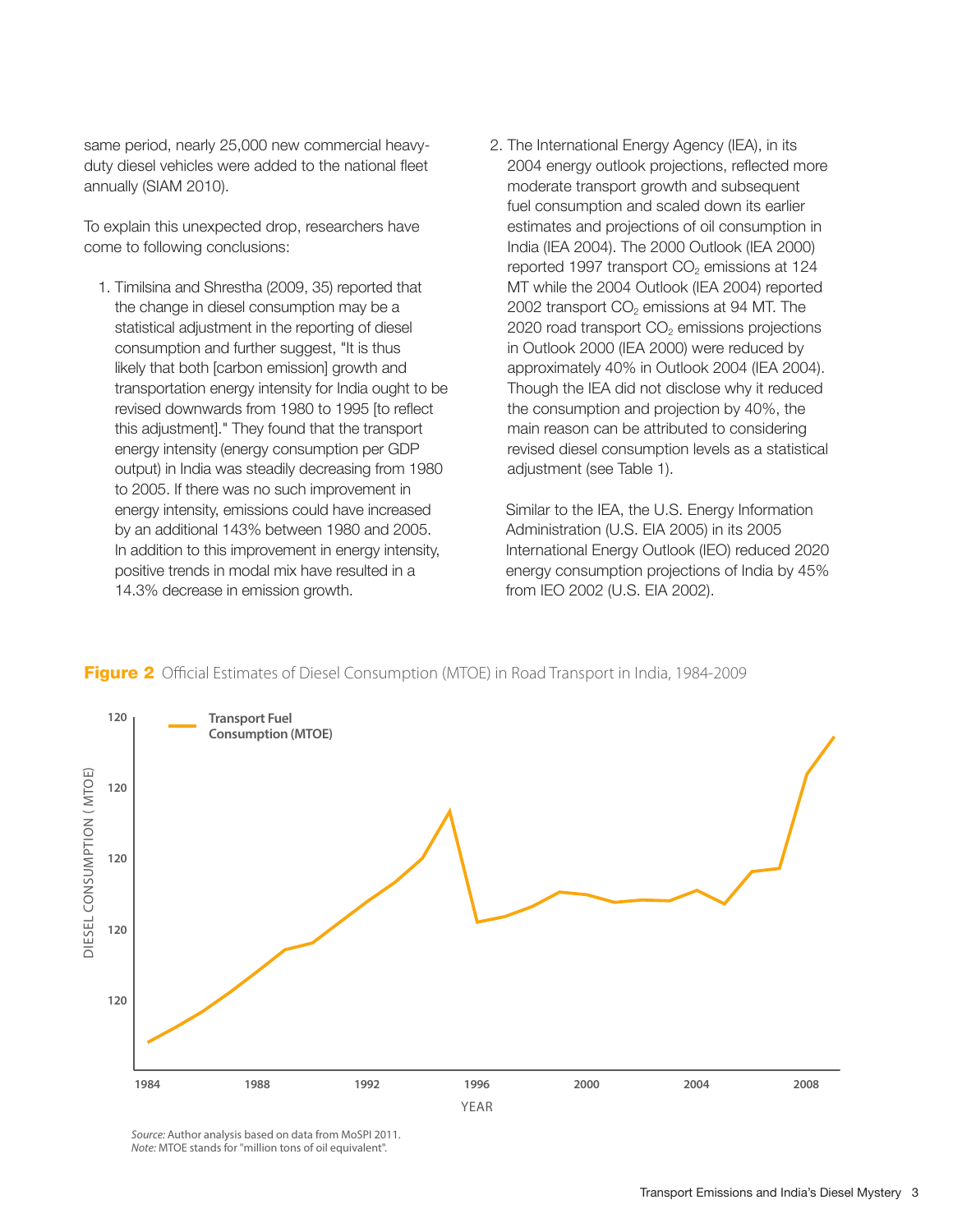same period, nearly 25,000 new commercial heavyduty diesel vehicles were added to the national fleet annually (SIAM 2010).

To explain this unexpected drop, researchers have come to following conclusions:

- 1. Timilsina and Shrestha (2009, 35) reported that the change in diesel consumption may be a statistical adjustment in the reporting of diesel consumption and further suggest, "It is thus likely that both [carbon emission] growth and transportation energy intensity for India ought to be revised downwards from 1980 to 1995 [to reflect this adjustment]." They found that the transport energy intensity (energy consumption per GDP output) in India was steadily decreasing from 1980 to 2005. If there was no such improvement in energy intensity, emissions could have increased by an additional 143% between 1980 and 2005. In addition to this improvement in energy intensity, positive trends in modal mix have resulted in a 14.3% decrease in emission growth.
- 2. The International Energy Agency (IEA), in its 2004 energy outlook projections, reflected more moderate transport growth and subsequent fuel consumption and scaled down its earlier estimates and projections of oil consumption in India (IEA 2004). The 2000 Outlook (IEA 2000) reported 1997 transport  $CO<sub>2</sub>$  emissions at 124 MT while the 2004 Outlook (IEA 2004) reported 2002 transport  $CO<sub>2</sub>$  emissions at 94 MT. The  $2020$  road transport  $CO<sub>2</sub>$  emissions projections in Outlook 2000 (IEA 2000) were reduced by approximately 40% in Outlook 2004 (IEA 2004). Though the IEA did not disclose why it reduced the consumption and projection by 40%, the main reason can be attributed to considering revised diesel consumption levels as a statistical adjustment (see Table 1).

 Similar to the IEA, the U.S. Energy Information Administration (U.S. EIA 2005) in its 2005 International Energy Outlook (IEO) reduced 2020 energy consumption projections of India by 45% from IEO 2002 (U.S. EIA 2002).



**Figure 2** Official Estimates of Diesel Consumption (MTOE) in Road Transport in India, 1984-2009

*Source:* Author analysis based on data from MoSPI 2011. *Note:* MTOE stands for "million tons of oil equivalent".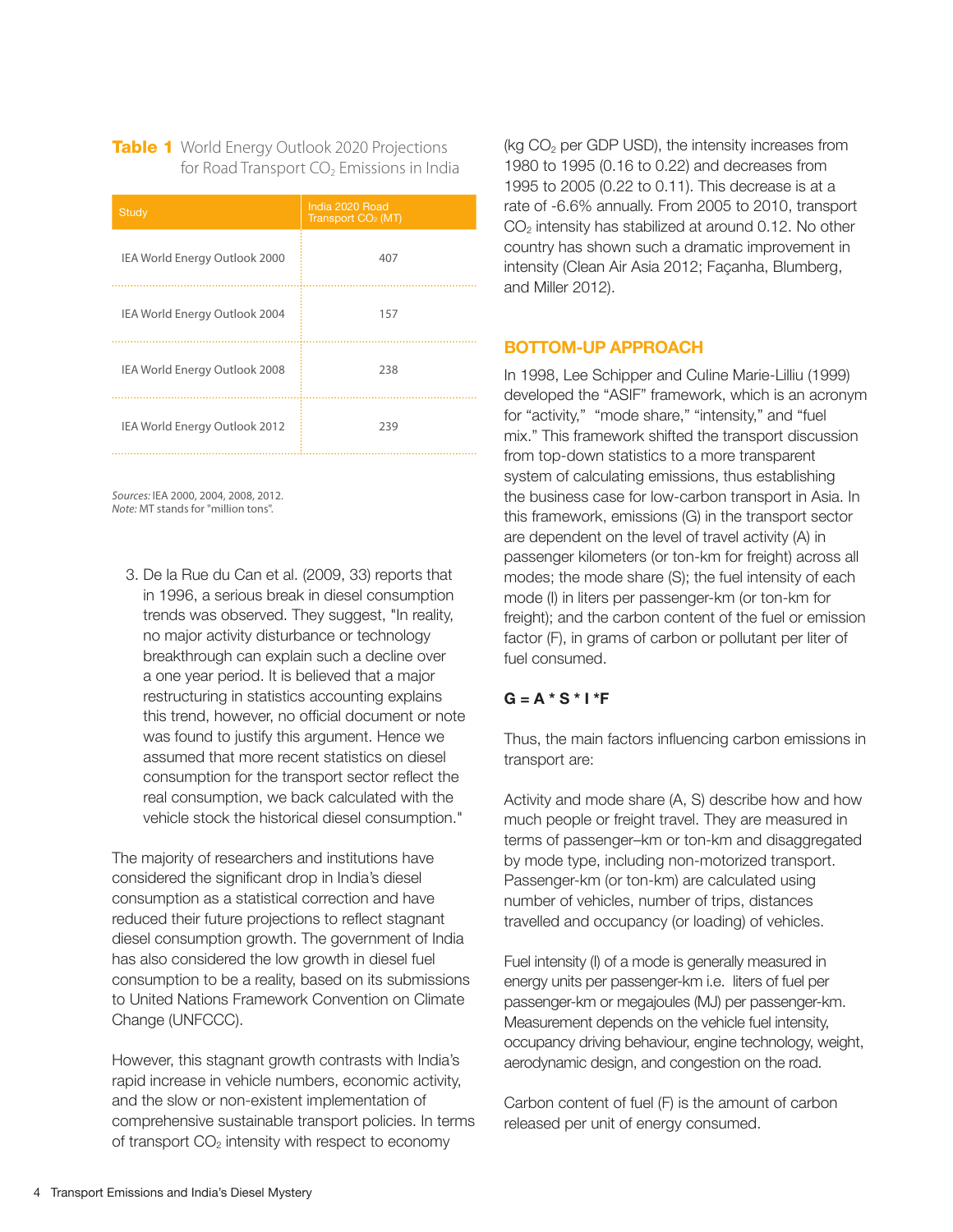Table 1 World Energy Outlook 2020 Projections for Road Transport  $CO<sub>2</sub>$  Emissions in India

| <b>Study</b>                  | India 2020 Road<br>Transport CO <sub>2</sub> (MT) |
|-------------------------------|---------------------------------------------------|
| IEA World Energy Outlook 2000 | 407                                               |
| IEA World Energy Outlook 2004 | 157                                               |
| IEA World Energy Outlook 2008 | 238                                               |
| IEA World Energy Outlook 2012 | 239                                               |

*Sources:* IEA 2000, 2004, 2008, 2012. *Note:* MT stands for "million tons".

3. De la Rue du Can et al. (2009, 33) reports that in 1996, a serious break in diesel consumption trends was observed. They suggest, "In reality, no major activity disturbance or technology breakthrough can explain such a decline over a one year period. It is believed that a major restructuring in statistics accounting explains this trend, however, no official document or note was found to justify this argument. Hence we assumed that more recent statistics on diesel consumption for the transport sector reflect the real consumption, we back calculated with the vehicle stock the historical diesel consumption."

The majority of researchers and institutions have considered the significant drop in India's diesel consumption as a statistical correction and have reduced their future projections to reflect stagnant diesel consumption growth. The government of India has also considered the low growth in diesel fuel consumption to be a reality, based on its submissions to United Nations Framework Convention on Climate Change (UNFCCC).

However, this stagnant growth contrasts with India's rapid increase in vehicle numbers, economic activity, and the slow or non-existent implementation of comprehensive sustainable transport policies. In terms of transport  $CO<sub>2</sub>$  intensity with respect to economy

(kg  $CO<sub>2</sub>$  per GDP USD), the intensity increases from 1980 to 1995 (0.16 to 0.22) and decreases from 1995 to 2005 (0.22 to 0.11). This decrease is at a rate of -6.6% annually. From 2005 to 2010, transport  $CO<sub>2</sub>$  intensity has stabilized at around 0.12. No other country has shown such a dramatic improvement in intensity (Clean Air Asia 2012; Façanha, Blumberg, and Miller 2012).

#### BOTTOM-UP APPROACH

In 1998, Lee Schipper and CuIine Marie-Lilliu (1999) developed the "ASIF" framework, which is an acronym for "activity," "mode share," "intensity," and "fuel mix." This framework shifted the transport discussion from top-down statistics to a more transparent system of calculating emissions, thus establishing the business case for low-carbon transport in Asia. In this framework, emissions (G) in the transport sector are dependent on the level of travel activity (A) in passenger kilometers (or ton-km for freight) across all modes; the mode share (S); the fuel intensity of each mode (I) in liters per passenger-km (or ton-km for freight); and the carbon content of the fuel or emission factor (F), in grams of carbon or pollutant per liter of fuel consumed.

#### $G = A * S * I * F$

Thus, the main factors influencing carbon emissions in transport are:

Activity and mode share (A, S) describe how and how much people or freight travel. They are measured in terms of passenger–km or ton-km and disaggregated by mode type, including non-motorized transport. Passenger-km (or ton-km) are calculated using number of vehicles, number of trips, distances travelled and occupancy (or loading) of vehicles.

Fuel intensity (I) of a mode is generally measured in energy units per passenger-km i.e. liters of fuel per passenger-km or megajoules (MJ) per passenger-km. Measurement depends on the vehicle fuel intensity, occupancy driving behaviour, engine technology, weight, aerodynamic design, and congestion on the road.

Carbon content of fuel (F) is the amount of carbon released per unit of energy consumed.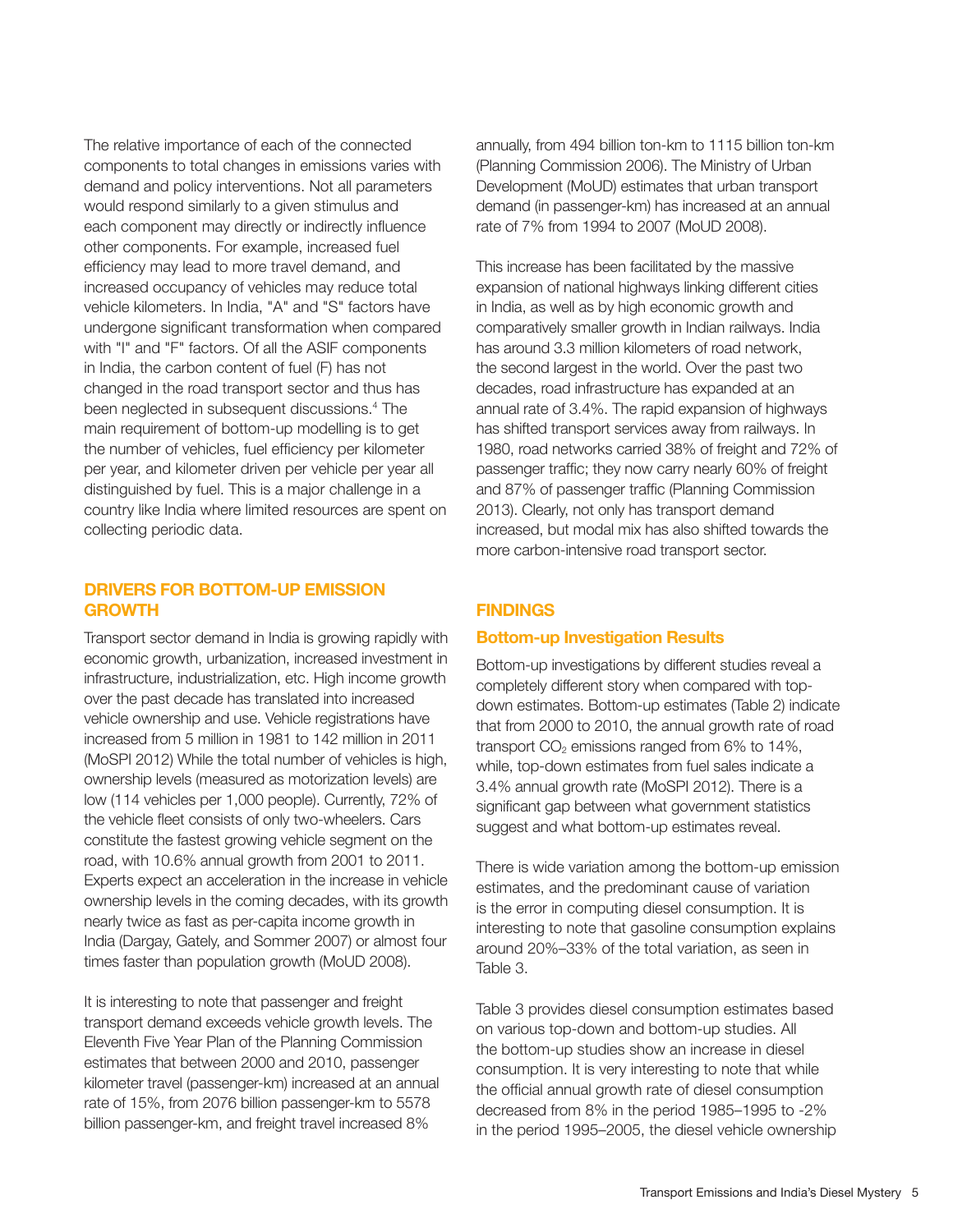The relative importance of each of the connected components to total changes in emissions varies with demand and policy interventions. Not all parameters would respond similarly to a given stimulus and each component may directly or indirectly influence other components. For example, increased fuel efficiency may lead to more travel demand, and increased occupancy of vehicles may reduce total vehicle kilometers. In India, "A" and "S" factors have undergone significant transformation when compared with "I" and "F" factors. Of all the ASIF components in India, the carbon content of fuel (F) has not changed in the road transport sector and thus has been neglected in subsequent discussions.4 The main requirement of bottom-up modelling is to get the number of vehicles, fuel efficiency per kilometer per year, and kilometer driven per vehicle per year all distinguished by fuel. This is a major challenge in a country like India where limited resources are spent on collecting periodic data.

#### DRIVERS FOR BOTTOM-UP EMISSION GROWTH

Transport sector demand in India is growing rapidly with economic growth, urbanization, increased investment in infrastructure, industrialization, etc. High income growth over the past decade has translated into increased vehicle ownership and use. Vehicle registrations have increased from 5 million in 1981 to 142 million in 2011 (MoSPI 2012) While the total number of vehicles is high, ownership levels (measured as motorization levels) are low (114 vehicles per 1,000 people). Currently, 72% of the vehicle fleet consists of only two-wheelers. Cars constitute the fastest growing vehicle segment on the road, with 10.6% annual growth from 2001 to 2011. Experts expect an acceleration in the increase in vehicle ownership levels in the coming decades, with its growth nearly twice as fast as per-capita income growth in India (Dargay, Gately, and Sommer 2007) or almost four times faster than population growth (MoUD 2008).

It is interesting to note that passenger and freight transport demand exceeds vehicle growth levels. The Eleventh Five Year Plan of the Planning Commission estimates that between 2000 and 2010, passenger kilometer travel (passenger-km) increased at an annual rate of 15%, from 2076 billion passenger-km to 5578 billion passenger-km, and freight travel increased 8%

annually, from 494 billion ton-km to 1115 billion ton-km (Planning Commission 2006). The Ministry of Urban Development (MoUD) estimates that urban transport demand (in passenger-km) has increased at an annual rate of 7% from 1994 to 2007 (MoUD 2008).

This increase has been facilitated by the massive expansion of national highways linking different cities in India, as well as by high economic growth and comparatively smaller growth in Indian railways. India has around 3.3 million kilometers of road network, the second largest in the world. Over the past two decades, road infrastructure has expanded at an annual rate of 3.4%. The rapid expansion of highways has shifted transport services away from railways. In 1980, road networks carried 38% of freight and 72% of passenger traffic; they now carry nearly 60% of freight and 87% of passenger traffic (Planning Commission 2013). Clearly, not only has transport demand increased, but modal mix has also shifted towards the more carbon-intensive road transport sector.

#### **FINDINGS**

#### Bottom-up Investigation Results

Bottom-up investigations by different studies reveal a completely different story when compared with topdown estimates. Bottom-up estimates (Table 2) indicate that from 2000 to 2010, the annual growth rate of road transport  $CO<sub>2</sub>$  emissions ranged from 6% to 14%, while, top-down estimates from fuel sales indicate a 3.4% annual growth rate (MoSPI 2012). There is a significant gap between what government statistics suggest and what bottom-up estimates reveal.

There is wide variation among the bottom-up emission estimates, and the predominant cause of variation is the error in computing diesel consumption. It is interesting to note that gasoline consumption explains around 20%–33% of the total variation, as seen in Table 3.

Table 3 provides diesel consumption estimates based on various top-down and bottom-up studies. All the bottom-up studies show an increase in diesel consumption. It is very interesting to note that while the official annual growth rate of diesel consumption decreased from 8% in the period 1985–1995 to -2% in the period 1995–2005, the diesel vehicle ownership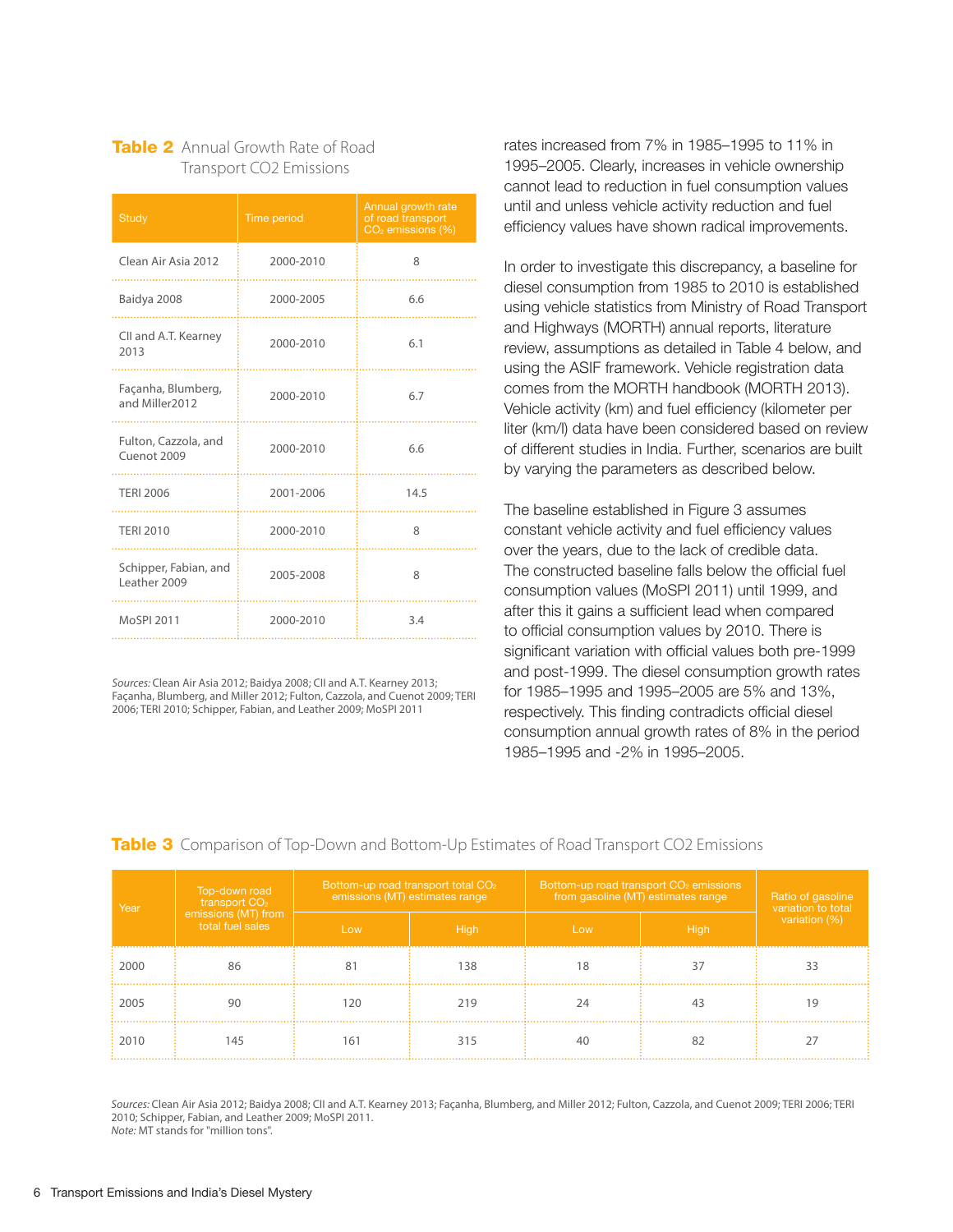### **Table 2** Annual Growth Rate of Road Transport CO2 Emissions

| <b>Study</b>                          | Time period | Annual growth rate<br>of road transport<br>CO <sub>2</sub> emissions (%) |
|---------------------------------------|-------------|--------------------------------------------------------------------------|
| Clean Air Asia 2012                   | 2000-2010   | 8                                                                        |
| Baidya 2008                           | 2000-2005   | 6.6                                                                      |
| CII and A.T. Kearney<br>2013          | 2000-2010   | 6.1                                                                      |
| Façanha, Blumberg,<br>and Miller2012  | 2000-2010   | 6.7                                                                      |
| Fulton, Cazzola, and<br>Cuenot 2009   | 2000-2010   | 6.6                                                                      |
| <b>TERI 2006</b>                      | 2001-2006   | 14.5                                                                     |
| <b>TERI 2010</b>                      | 2000-2010   | 8                                                                        |
| Schipper, Fabian, and<br>Leather 2009 | 2005-2008   | 8                                                                        |
| MoSPI 2011                            | 2000-2010   | 3.4                                                                      |

*Sources:* Clean Air Asia 2012; Baidya 2008; CII and A.T. Kearney 2013; Façanha, Blumberg, and Miller 2012; Fulton, Cazzola, and Cuenot 2009; TERI 2006; TERI 2010; Schipper, Fabian, and Leather 2009; MoSPI 2011

rates increased from 7% in 1985–1995 to 11% in 1995–2005. Clearly, increases in vehicle ownership cannot lead to reduction in fuel consumption values until and unless vehicle activity reduction and fuel efficiency values have shown radical improvements.

In order to investigate this discrepancy, a baseline for diesel consumption from 1985 to 2010 is established using vehicle statistics from Ministry of Road Transport and Highways (MORTH) annual reports, literature review, assumptions as detailed in Table 4 below, and using the ASIF framework. Vehicle registration data comes from the MORTH handbook (MORTH 2013). Vehicle activity (km) and fuel efficiency (kilometer per liter (km/l) data have been considered based on review of different studies in India. Further, scenarios are built by varying the parameters as described below.

The baseline established in Figure 3 assumes constant vehicle activity and fuel efficiency values over the years, due to the lack of credible data. The constructed baseline falls below the official fuel consumption values (MoSPI 2011) until 1999, and after this it gains a sufficient lead when compared to official consumption values by 2010. There is significant variation with official values both pre-1999 and post-1999. The diesel consumption growth rates for 1985–1995 and 1995–2005 are 5% and 13%, respectively. This finding contradicts official diesel consumption annual growth rates of 8% in the period 1985–1995 and -2% in 1995–2005.

#### **Table 3** Comparison of Top-Down and Bottom-Up Estimates of Road Transport CO2 Emissions

| Year | Top-down road<br>transport $CO2$        | Bottom-up road transport total CO <sub>2</sub><br>emissions (MT) estimates range |      | Bottom-up road transport CO <sub>2</sub> emissions<br>from gasoline (MT) estimates range | Ratio of gasoline<br>variation to total |               |
|------|-----------------------------------------|----------------------------------------------------------------------------------|------|------------------------------------------------------------------------------------------|-----------------------------------------|---------------|
|      | emissions (MT) from<br>total fuel sales | Low                                                                              | High | Low                                                                                      | <b>High</b>                             | variation (%) |
| 2000 | 86                                      |                                                                                  | 138  | 18                                                                                       |                                         |               |
| 2005 | 90                                      | 120                                                                              | 219  | 74                                                                                       | 43                                      |               |
| 2010 | 145                                     | 161                                                                              | 315  | 40                                                                                       |                                         |               |

*Sources:* Clean Air Asia 2012; Baidya 2008; CII and A.T. Kearney 2013; Façanha, Blumberg, and Miller 2012; Fulton, Cazzola, and Cuenot 2009; TERI 2006; TERI 2010; Schipper, Fabian, and Leather 2009; MoSPI 2011.

*Note:* MT stands for "million tons".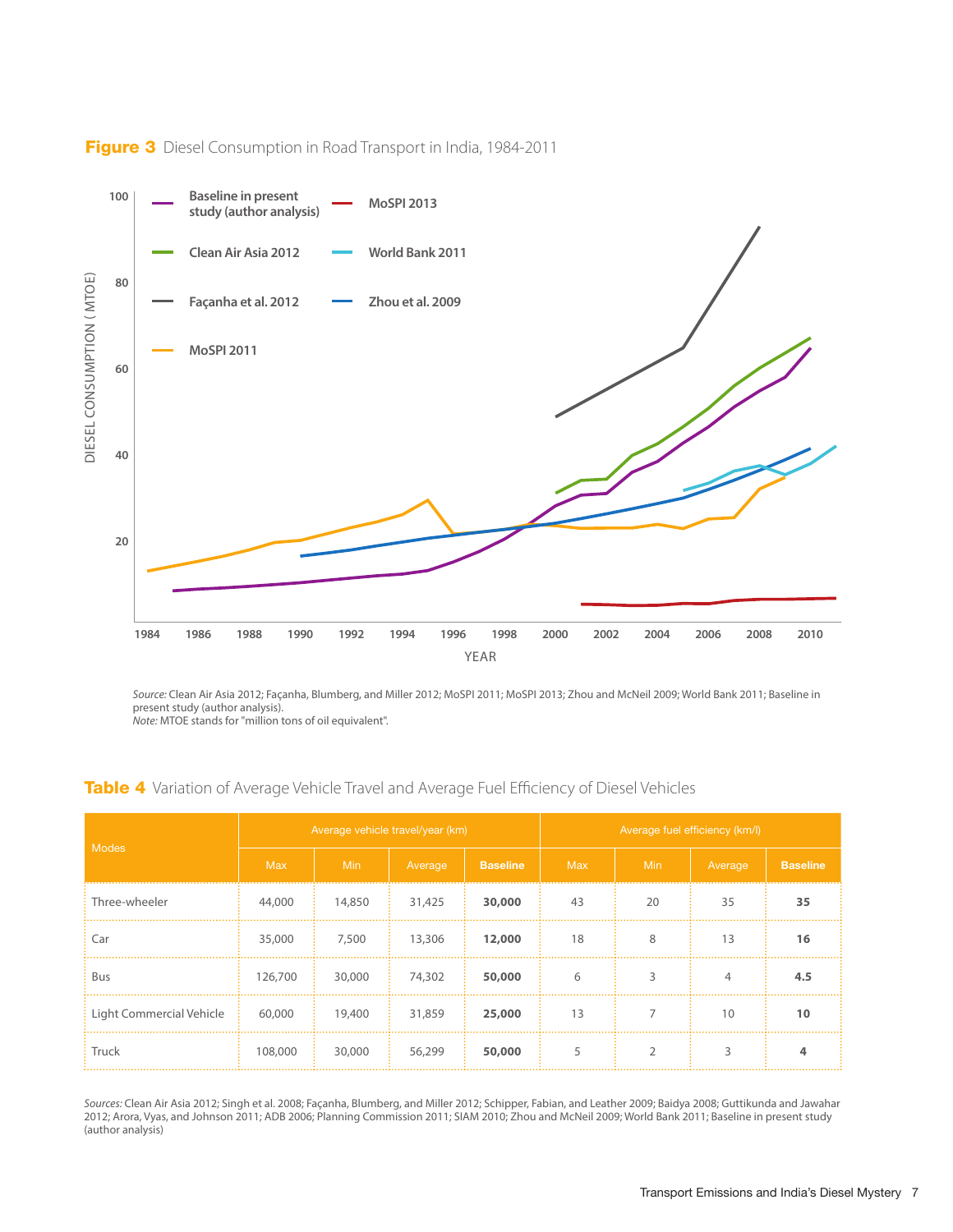

#### Figure 3 Diesel Consumption in Road Transport in India, 1984-2011

*Source:* Clean Air Asia 2012; Façanha, Blumberg, and Miller 2012; MoSPI 2011; MoSPI 2013; Zhou and McNeil 2009; World Bank 2011; Baseline in present study (author analysis). *Note:* MTOE stands for "million tons of oil equivalent".

| <b>Modes</b>             | Average vehicle travel/year (km) |            |         |                 | Average fuel efficiency (km/l) |            |         |                 |
|--------------------------|----------------------------------|------------|---------|-----------------|--------------------------------|------------|---------|-----------------|
|                          | <b>Max</b>                       | <b>Min</b> | Average | <b>Baseline</b> | <b>Max</b>                     | <b>Min</b> | Average | <b>Baseline</b> |
| Three-wheeler            | 44,000                           | 14,850     | 31,425  | 30,000          | 43                             | 20         | 35      | 35              |
| Car                      | 35,000                           | 7,500      | 13,306  | 12,000          | 18                             | 8          | 13      | 16              |
| Bus                      | 126,700                          | 30,000     | 74,302  | 50,000          | 6                              | 3          | 4       | 4.5             |
| Light Commercial Vehicle | 60,000                           | 19,400     | 31,859  | 25,000          | 13                             |            | 10      | 10              |
| Truck                    | 108,000                          | 30,000     | 56,299  | 50,000          | 5                              |            | 3       | 4               |

*Sources:* Clean Air Asia 2012; Singh et al. 2008; Façanha, Blumberg, and Miller 2012; Schipper, Fabian, and Leather 2009; Baidya 2008; Guttikunda and Jawahar 2012; Arora, Vyas, and Johnson 2011; ADB 2006; Planning Commission 2011; SIAM 2010; Zhou and McNeil 2009; World Bank 2011; Baseline in present study (author analysis)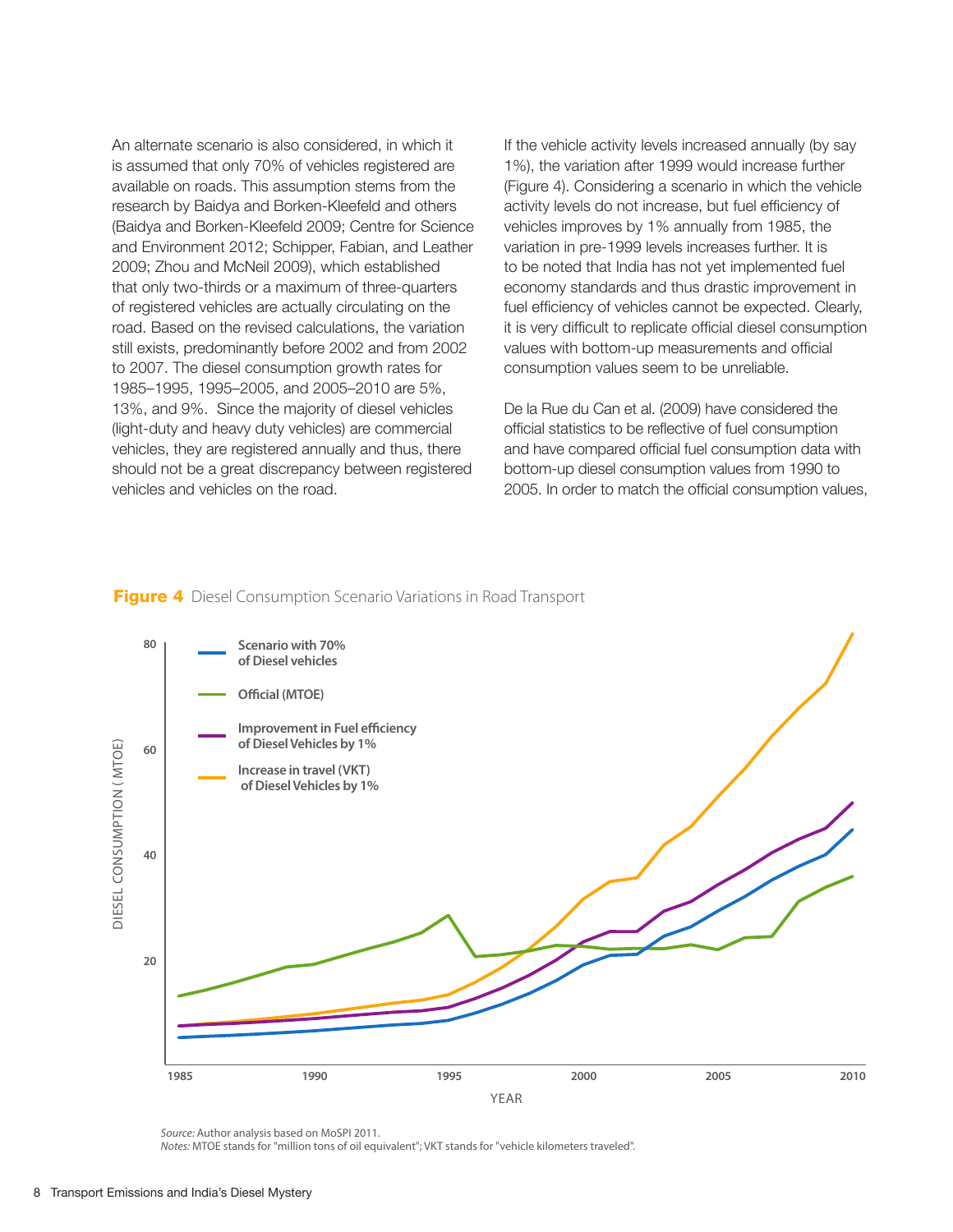An alternate scenario is also considered, in which it is assumed that only 70% of vehicles registered are available on roads. This assumption stems from the research by Baidya and Borken-Kleefeld and others (Baidya and Borken-Kleefeld 2009; Centre for Science and Environment 2012; Schipper, Fabian, and Leather 2009; Zhou and McNeil 2009), which established that only two-thirds or a maximum of three-quarters of registered vehicles are actually circulating on the road. Based on the revised calculations, the variation still exists, predominantly before 2002 and from 2002 to 2007. The diesel consumption growth rates for 1985–1995, 1995–2005, and 2005–2010 are 5%, 13%, and 9%. Since the majority of diesel vehicles (light-duty and heavy duty vehicles) are commercial vehicles, they are registered annually and thus, there should not be a great discrepancy between registered vehicles and vehicles on the road.

If the vehicle activity levels increased annually (by say 1%), the variation after 1999 would increase further (Figure 4). Considering a scenario in which the vehicle activity levels do not increase, but fuel efficiency of vehicles improves by 1% annually from 1985, the variation in pre-1999 levels increases further. It is to be noted that India has not yet implemented fuel economy standards and thus drastic improvement in fuel efficiency of vehicles cannot be expected. Clearly, it is very difficult to replicate official diesel consumption values with bottom-up measurements and official consumption values seem to be unreliable.

De la Rue du Can et al. (2009) have considered the official statistics to be reflective of fuel consumption and have compared official fuel consumption data with bottom-up diesel consumption values from 1990 to 2005. In order to match the official consumption values,

#### **Figure 4** Diesel Consumption Scenario Variations in Road Transport



*Source:* Author analysis based on MoSPI 2011.

*Notes:* MTOE stands for "million tons of oil equivalent"; VKT stands for "vehicle kilometers traveled".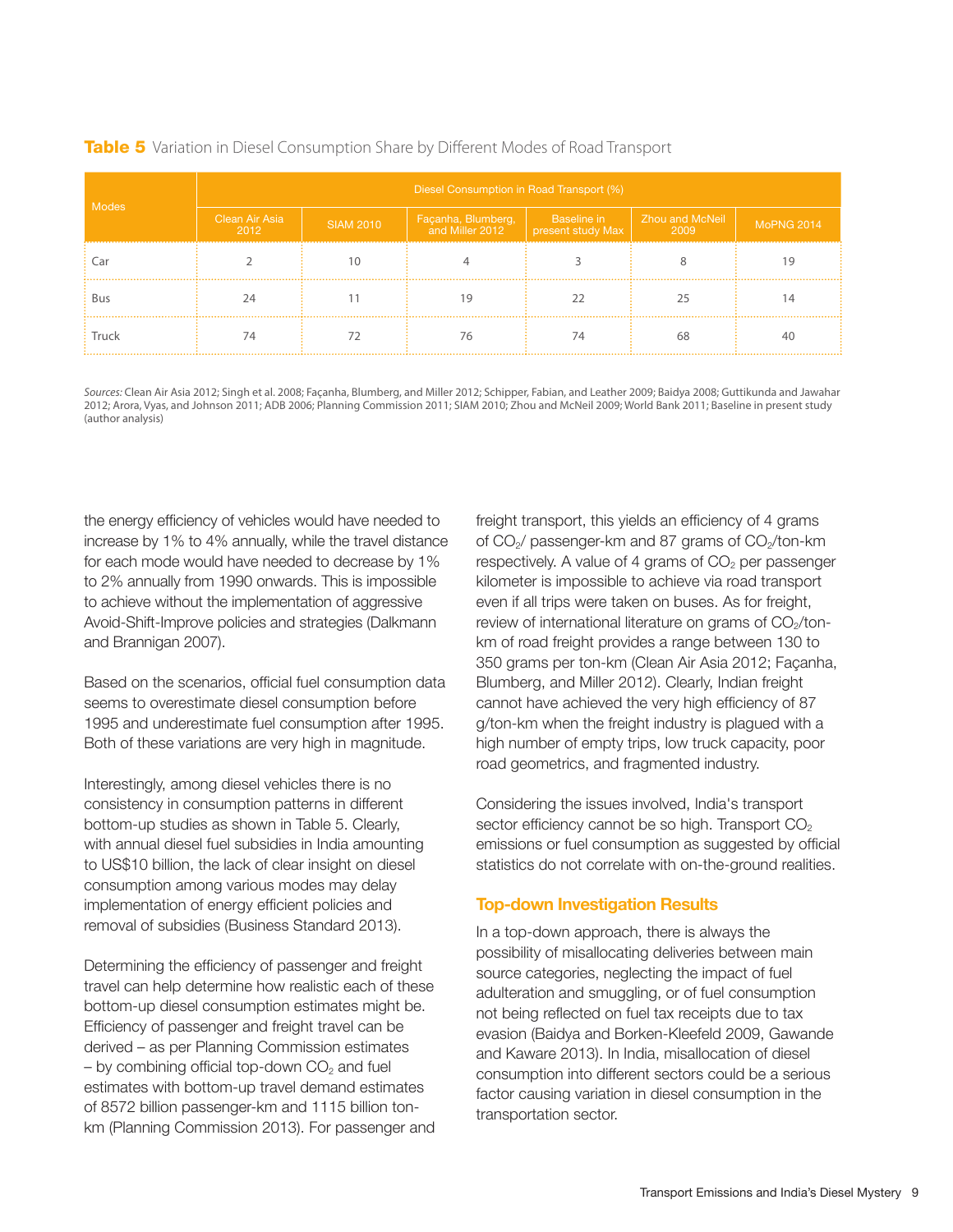|              | Diesel Consumption in Road Transport (%) |                  |                                       |                                  |                         |                   |  |  |
|--------------|------------------------------------------|------------------|---------------------------------------|----------------------------------|-------------------------|-------------------|--|--|
| <b>Modes</b> | Clean Air Asia<br>2012                   | <b>SIAM 2010</b> | Façanha, Blumberg,<br>and Miller 2012 | Baseline in<br>present study Max | Zhou and McNeil<br>2009 | <b>MoPNG 2014</b> |  |  |
|              |                                          |                  |                                       |                                  |                         |                   |  |  |
| <b>Bus</b>   | 24                                       |                  |                                       |                                  |                         |                   |  |  |
| Truck        | 74                                       |                  | 76                                    | 74                               | 68                      |                   |  |  |

#### **Table 5** Variation in Diesel Consumption Share by Different Modes of Road Transport

*Sources:* Clean Air Asia 2012; Singh et al. 2008; Façanha, Blumberg, and Miller 2012; Schipper, Fabian, and Leather 2009; Baidya 2008; Guttikunda and Jawahar 2012; Arora, Vyas, and Johnson 2011; ADB 2006; Planning Commission 2011; SIAM 2010; Zhou and McNeil 2009; World Bank 2011; Baseline in present study (author analysis)

the energy efficiency of vehicles would have needed to increase by 1% to 4% annually, while the travel distance for each mode would have needed to decrease by 1% to 2% annually from 1990 onwards. This is impossible to achieve without the implementation of aggressive Avoid-Shift-Improve policies and strategies (Dalkmann and Brannigan 2007).

Based on the scenarios, official fuel consumption data seems to overestimate diesel consumption before 1995 and underestimate fuel consumption after 1995. Both of these variations are very high in magnitude.

Interestingly, among diesel vehicles there is no consistency in consumption patterns in different bottom-up studies as shown in Table 5. Clearly, with annual diesel fuel subsidies in India amounting to US\$10 billion, the lack of clear insight on diesel consumption among various modes may delay implementation of energy efficient policies and removal of subsidies (Business Standard 2013).

Determining the efficiency of passenger and freight travel can help determine how realistic each of these bottom-up diesel consumption estimates might be. Efficiency of passenger and freight travel can be derived – as per Planning Commission estimates  $-$  by combining official top-down  $CO<sub>2</sub>$  and fuel estimates with bottom-up travel demand estimates of 8572 billion passenger-km and 1115 billion tonkm (Planning Commission 2013). For passenger and freight transport, this yields an efficiency of 4 grams of  $CO<sub>2</sub>$  passenger-km and 87 grams of  $CO<sub>2</sub>$ /ton-km respectively. A value of 4 grams of  $CO<sub>2</sub>$  per passenger kilometer is impossible to achieve via road transport even if all trips were taken on buses. As for freight, review of international literature on grams of  $CO<sub>2</sub>/ton$ km of road freight provides a range between 130 to 350 grams per ton-km (Clean Air Asia 2012; Façanha, Blumberg, and Miller 2012). Clearly, Indian freight cannot have achieved the very high efficiency of 87 g/ton-km when the freight industry is plagued with a high number of empty trips, low truck capacity, poor road geometrics, and fragmented industry.

Considering the issues involved, India's transport sector efficiency cannot be so high. Transport  $CO<sub>2</sub>$ emissions or fuel consumption as suggested by official statistics do not correlate with on-the-ground realities.

#### Top-down Investigation Results

In a top-down approach, there is always the possibility of misallocating deliveries between main source categories, neglecting the impact of fuel adulteration and smuggling, or of fuel consumption not being reflected on fuel tax receipts due to tax evasion (Baidya and Borken-Kleefeld 2009, Gawande and Kaware 2013). In India, misallocation of diesel consumption into different sectors could be a serious factor causing variation in diesel consumption in the transportation sector.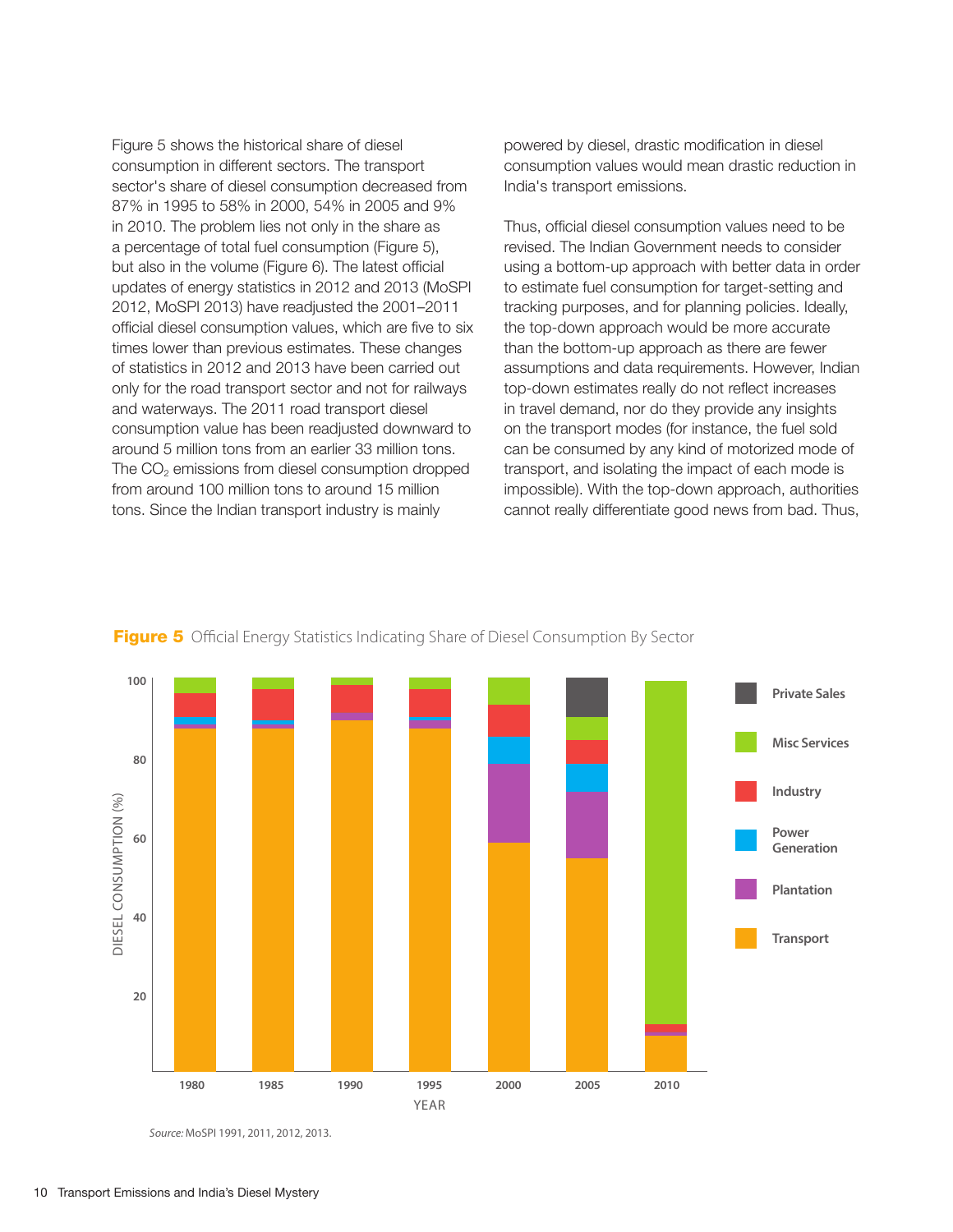Figure 5 shows the historical share of diesel consumption in different sectors. The transport sector's share of diesel consumption decreased from 87% in 1995 to 58% in 2000, 54% in 2005 and 9% in 2010. The problem lies not only in the share as a percentage of total fuel consumption (Figure 5), but also in the volume (Figure 6). The latest official updates of energy statistics in 2012 and 2013 (MoSPI 2012, MoSPI 2013) have readjusted the 2001–2011 official diesel consumption values, which are five to six times lower than previous estimates. These changes of statistics in 2012 and 2013 have been carried out only for the road transport sector and not for railways and waterways. The 2011 road transport diesel consumption value has been readjusted downward to around 5 million tons from an earlier 33 million tons. The CO<sub>2</sub> emissions from diesel consumption dropped from around 100 million tons to around 15 million tons. Since the Indian transport industry is mainly

powered by diesel, drastic modification in diesel consumption values would mean drastic reduction in India's transport emissions.

Thus, official diesel consumption values need to be revised. The Indian Government needs to consider using a bottom-up approach with better data in order to estimate fuel consumption for target-setting and tracking purposes, and for planning policies. Ideally, the top-down approach would be more accurate than the bottom-up approach as there are fewer assumptions and data requirements. However, Indian top-down estimates really do not reflect increases in travel demand, nor do they provide any insights on the transport modes (for instance, the fuel sold can be consumed by any kind of motorized mode of transport, and isolating the impact of each mode is impossible). With the top-down approach, authorities cannot really differentiate good news from bad. Thus,



Figure 5 Official Energy Statistics Indicating Share of Diesel Consumption By Sector

*Source:* MoSPI 1991, 2011, 2012, 2013.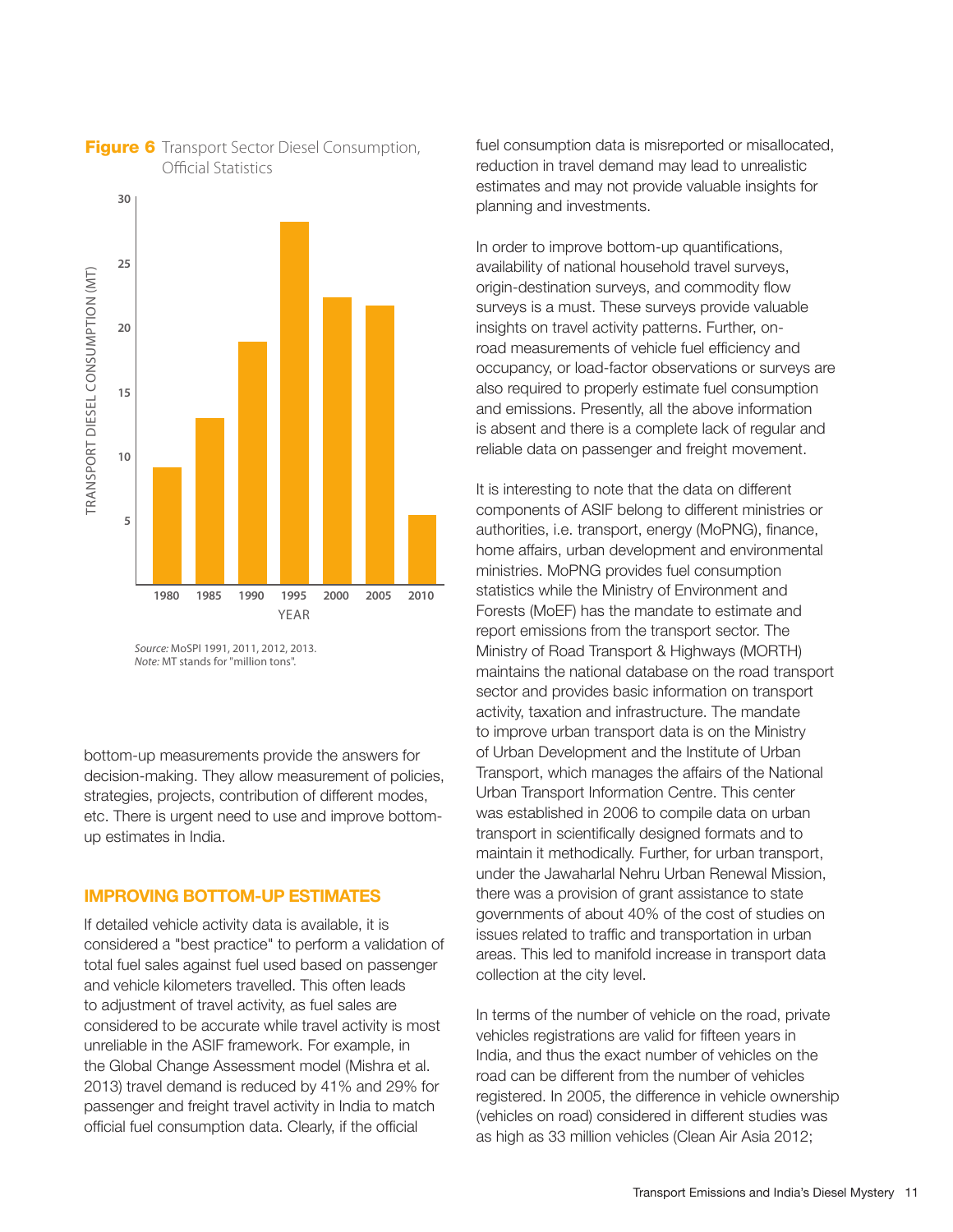

**Figure 6** Transport Sector Diesel Consumption, Official Statistics

bottom-up measurements provide the answers for decision-making. They allow measurement of policies, strategies, projects, contribution of different modes, etc. There is urgent need to use and improve bottomup estimates in India.

#### IMPROVING BOTTOM-UP ESTIMATES

If detailed vehicle activity data is available, it is considered a "best practice" to perform a validation of total fuel sales against fuel used based on passenger and vehicle kilometers travelled. This often leads to adjustment of travel activity, as fuel sales are considered to be accurate while travel activity is most unreliable in the ASIF framework. For example, in the Global Change Assessment model (Mishra et al. 2013) travel demand is reduced by 41% and 29% for passenger and freight travel activity in India to match official fuel consumption data. Clearly, if the official

fuel consumption data is misreported or misallocated, reduction in travel demand may lead to unrealistic estimates and may not provide valuable insights for planning and investments.

In order to improve bottom-up quantifications, availability of national household travel surveys, origin-destination surveys, and commodity flow surveys is a must. These surveys provide valuable insights on travel activity patterns. Further, onroad measurements of vehicle fuel efficiency and occupancy, or load-factor observations or surveys are also required to properly estimate fuel consumption and emissions. Presently, all the above information is absent and there is a complete lack of regular and reliable data on passenger and freight movement.

It is interesting to note that the data on different components of ASIF belong to different ministries or authorities, i.e. transport, energy (MoPNG), finance, home affairs, urban development and environmental ministries. MoPNG provides fuel consumption statistics while the Ministry of Environment and Forests (MoEF) has the mandate to estimate and report emissions from the transport sector. The Ministry of Road Transport & Highways (MORTH) maintains the national database on the road transport sector and provides basic information on transport activity, taxation and infrastructure. The mandate to improve urban transport data is on the Ministry of Urban Development and the Institute of Urban Transport, which manages the affairs of the National Urban Transport Information Centre. This center was established in 2006 to compile data on urban transport in scientifically designed formats and to maintain it methodically. Further, for urban transport, under the Jawaharlal Nehru Urban Renewal Mission, there was a provision of grant assistance to state governments of about 40% of the cost of studies on issues related to traffic and transportation in urban areas. This led to manifold increase in transport data collection at the city level.

In terms of the number of vehicle on the road, private vehicles registrations are valid for fifteen years in India, and thus the exact number of vehicles on the road can be different from the number of vehicles registered. In 2005, the difference in vehicle ownership (vehicles on road) considered in different studies was as high as 33 million vehicles (Clean Air Asia 2012;

*Source:* MoSPI 1991, 2011, 2012, 2013. *Note:* MT stands for "million tons".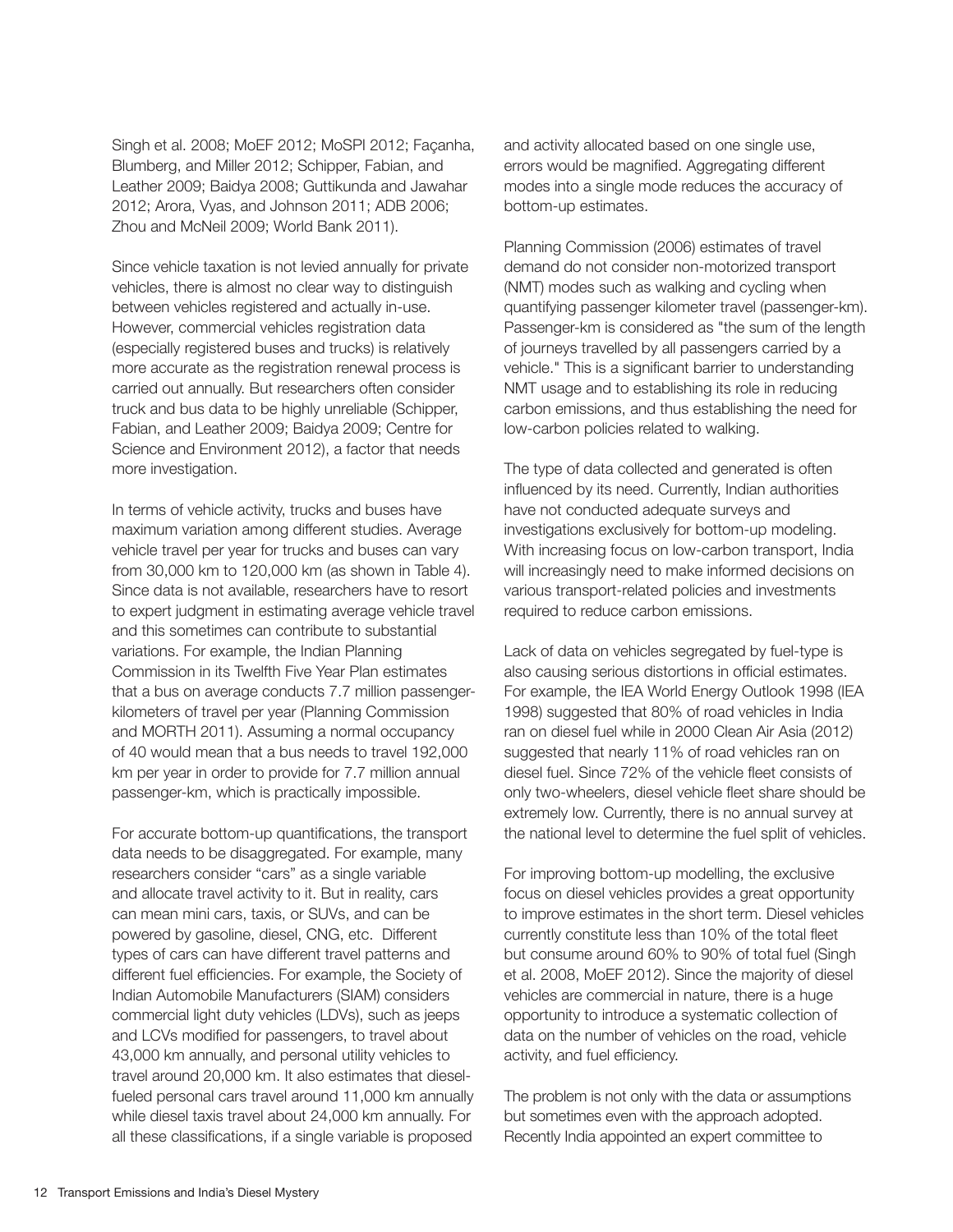Singh et al. 2008; MoEF 2012; MoSPI 2012; Façanha, Blumberg, and Miller 2012; Schipper, Fabian, and Leather 2009; Baidya 2008; Guttikunda and Jawahar 2012; Arora, Vyas, and Johnson 2011; ADB 2006; Zhou and McNeil 2009; World Bank 2011).

Since vehicle taxation is not levied annually for private vehicles, there is almost no clear way to distinguish between vehicles registered and actually in-use. However, commercial vehicles registration data (especially registered buses and trucks) is relatively more accurate as the registration renewal process is carried out annually. But researchers often consider truck and bus data to be highly unreliable (Schipper, Fabian, and Leather 2009; Baidya 2009; Centre for Science and Environment 2012), a factor that needs more investigation.

In terms of vehicle activity, trucks and buses have maximum variation among different studies. Average vehicle travel per year for trucks and buses can vary from 30,000 km to 120,000 km (as shown in Table 4). Since data is not available, researchers have to resort to expert judgment in estimating average vehicle travel and this sometimes can contribute to substantial variations. For example, the Indian Planning Commission in its Twelfth Five Year Plan estimates that a bus on average conducts 7.7 million passengerkilometers of travel per year (Planning Commission and MORTH 2011). Assuming a normal occupancy of 40 would mean that a bus needs to travel 192,000 km per year in order to provide for 7.7 million annual passenger-km, which is practically impossible.

For accurate bottom-up quantifications, the transport data needs to be disaggregated. For example, many researchers consider "cars" as a single variable and allocate travel activity to it. But in reality, cars can mean mini cars, taxis, or SUVs, and can be powered by gasoline, diesel, CNG, etc. Different types of cars can have different travel patterns and different fuel efficiencies. For example, the Society of Indian Automobile Manufacturers (SIAM) considers commercial light duty vehicles (LDVs), such as jeeps and LCVs modified for passengers, to travel about 43,000 km annually, and personal utility vehicles to travel around 20,000 km. It also estimates that dieselfueled personal cars travel around 11,000 km annually while diesel taxis travel about 24,000 km annually. For all these classifications, if a single variable is proposed

and activity allocated based on one single use, errors would be magnified. Aggregating different modes into a single mode reduces the accuracy of bottom-up estimates.

Planning Commission (2006) estimates of travel demand do not consider non-motorized transport (NMT) modes such as walking and cycling when quantifying passenger kilometer travel (passenger-km). Passenger-km is considered as "the sum of the length of journeys travelled by all passengers carried by a vehicle." This is a significant barrier to understanding NMT usage and to establishing its role in reducing carbon emissions, and thus establishing the need for low-carbon policies related to walking.

The type of data collected and generated is often influenced by its need. Currently, Indian authorities have not conducted adequate surveys and investigations exclusively for bottom-up modeling. With increasing focus on low-carbon transport, India will increasingly need to make informed decisions on various transport-related policies and investments required to reduce carbon emissions.

Lack of data on vehicles segregated by fuel-type is also causing serious distortions in official estimates. For example, the IEA World Energy Outlook 1998 (IEA 1998) suggested that 80% of road vehicles in India ran on diesel fuel while in 2000 Clean Air Asia (2012) suggested that nearly 11% of road vehicles ran on diesel fuel. Since 72% of the vehicle fleet consists of only two-wheelers, diesel vehicle fleet share should be extremely low. Currently, there is no annual survey at the national level to determine the fuel split of vehicles.

For improving bottom-up modelling, the exclusive focus on diesel vehicles provides a great opportunity to improve estimates in the short term. Diesel vehicles currently constitute less than 10% of the total fleet but consume around 60% to 90% of total fuel (Singh et al. 2008, MoEF 2012). Since the majority of diesel vehicles are commercial in nature, there is a huge opportunity to introduce a systematic collection of data on the number of vehicles on the road, vehicle activity, and fuel efficiency.

The problem is not only with the data or assumptions but sometimes even with the approach adopted. Recently India appointed an expert committee to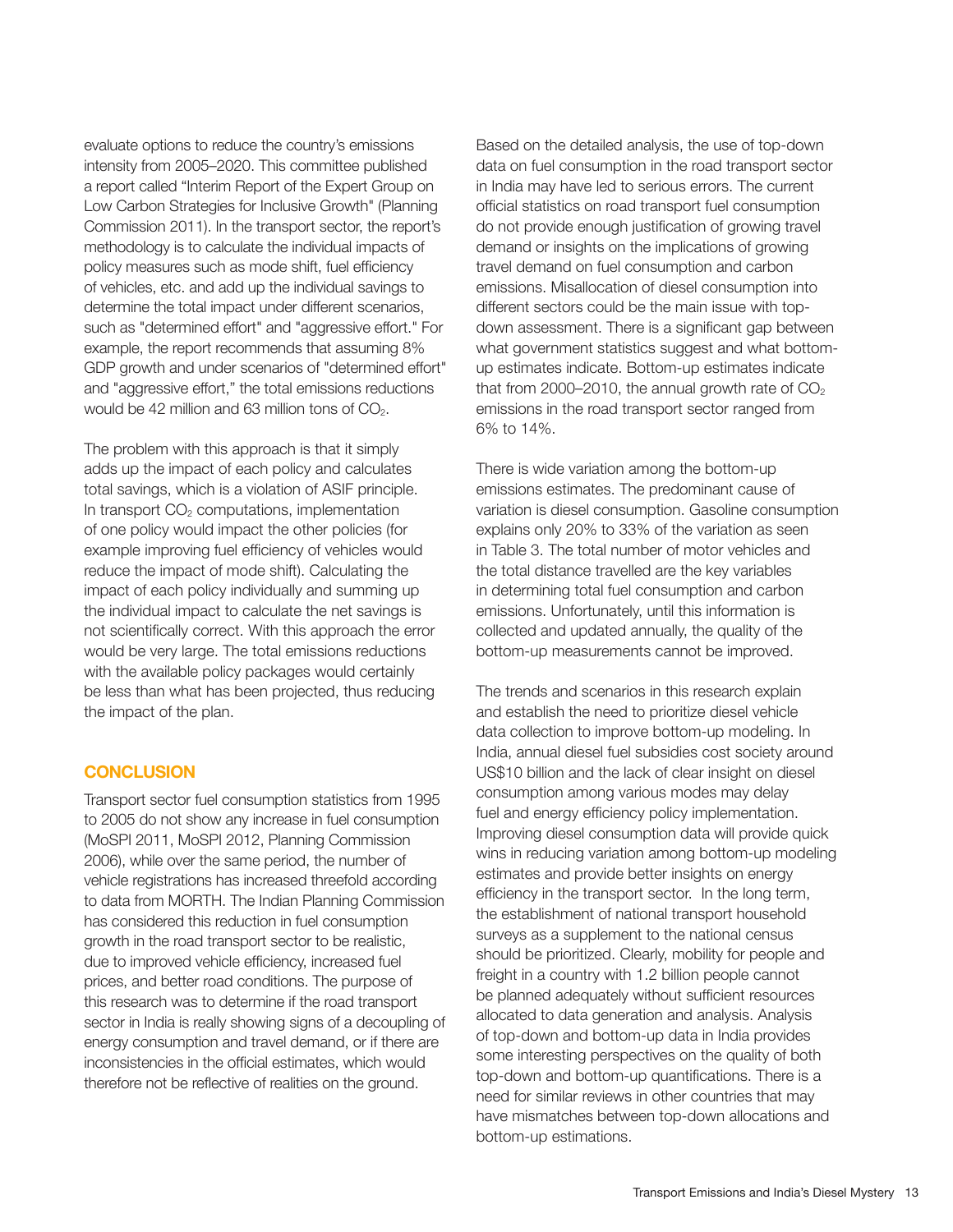evaluate options to reduce the country's emissions intensity from 2005–2020. This committee published a report called "Interim Report of the Expert Group on Low Carbon Strategies for Inclusive Growth" (Planning Commission 2011). In the transport sector, the report's methodology is to calculate the individual impacts of policy measures such as mode shift, fuel efficiency of vehicles, etc. and add up the individual savings to determine the total impact under different scenarios, such as "determined effort" and "aggressive effort." For example, the report recommends that assuming 8% GDP growth and under scenarios of "determined effort" and "aggressive effort," the total emissions reductions would be 42 million and 63 million tons of  $CO<sub>2</sub>$ .

The problem with this approach is that it simply adds up the impact of each policy and calculates total savings, which is a violation of ASIF principle. In transport  $CO<sub>2</sub>$  computations, implementation of one policy would impact the other policies (for example improving fuel efficiency of vehicles would reduce the impact of mode shift). Calculating the impact of each policy individually and summing up the individual impact to calculate the net savings is not scientifically correct. With this approach the error would be very large. The total emissions reductions with the available policy packages would certainly be less than what has been projected, thus reducing the impact of the plan.

#### **CONCLUSION**

Transport sector fuel consumption statistics from 1995 to 2005 do not show any increase in fuel consumption (MoSPI 2011, MoSPI 2012, Planning Commission 2006), while over the same period, the number of vehicle registrations has increased threefold according to data from MORTH. The Indian Planning Commission has considered this reduction in fuel consumption growth in the road transport sector to be realistic, due to improved vehicle efficiency, increased fuel prices, and better road conditions. The purpose of this research was to determine if the road transport sector in India is really showing signs of a decoupling of energy consumption and travel demand, or if there are inconsistencies in the official estimates, which would therefore not be reflective of realities on the ground.

Based on the detailed analysis, the use of top-down data on fuel consumption in the road transport sector in India may have led to serious errors. The current official statistics on road transport fuel consumption do not provide enough justification of growing travel demand or insights on the implications of growing travel demand on fuel consumption and carbon emissions. Misallocation of diesel consumption into different sectors could be the main issue with topdown assessment. There is a significant gap between what government statistics suggest and what bottomup estimates indicate. Bottom-up estimates indicate that from 2000–2010, the annual growth rate of  $CO<sub>2</sub>$ emissions in the road transport sector ranged from 6% to 14%.

There is wide variation among the bottom-up emissions estimates. The predominant cause of variation is diesel consumption. Gasoline consumption explains only 20% to 33% of the variation as seen in Table 3. The total number of motor vehicles and the total distance travelled are the key variables in determining total fuel consumption and carbon emissions. Unfortunately, until this information is collected and updated annually, the quality of the bottom-up measurements cannot be improved.

The trends and scenarios in this research explain and establish the need to prioritize diesel vehicle data collection to improve bottom-up modeling. In India, annual diesel fuel subsidies cost society around US\$10 billion and the lack of clear insight on diesel consumption among various modes may delay fuel and energy efficiency policy implementation. Improving diesel consumption data will provide quick wins in reducing variation among bottom-up modeling estimates and provide better insights on energy efficiency in the transport sector. In the long term, the establishment of national transport household surveys as a supplement to the national census should be prioritized. Clearly, mobility for people and freight in a country with 1.2 billion people cannot be planned adequately without sufficient resources allocated to data generation and analysis. Analysis of top-down and bottom-up data in India provides some interesting perspectives on the quality of both top-down and bottom-up quantifications. There is a need for similar reviews in other countries that may have mismatches between top-down allocations and bottom-up estimations.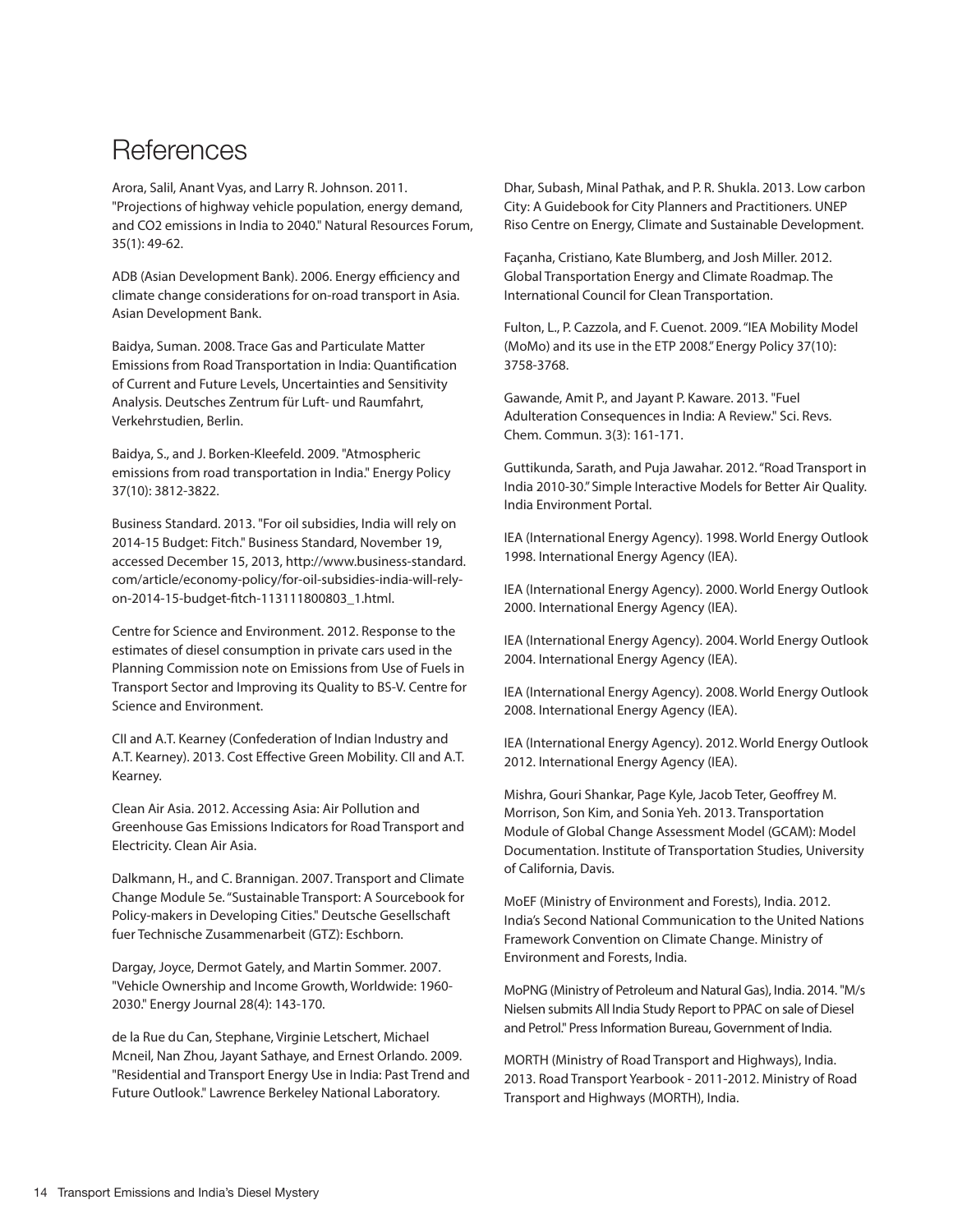## **References**

Arora, Salil, Anant Vyas, and Larry R. Johnson. 2011. "Projections of highway vehicle population, energy demand, and CO2 emissions in India to 2040." Natural Resources Forum, 35(1): 49-62.

ADB (Asian Development Bank). 2006. Energy efficiency and climate change considerations for on-road transport in Asia. Asian Development Bank.

Baidya, Suman. 2008. Trace Gas and Particulate Matter Emissions from Road Transportation in India: Quantification of Current and Future Levels, Uncertainties and Sensitivity Analysis. Deutsches Zentrum für Luft- und Raumfahrt, Verkehrstudien, Berlin.

Baidya, S., and J. Borken-Kleefeld. 2009. "Atmospheric emissions from road transportation in India." Energy Policy 37(10): 3812-3822.

Business Standard. 2013. "For oil subsidies, India will rely on 2014-15 Budget: Fitch." Business Standard, November 19, accessed December 15, 2013, http://www.business-standard. com/article/economy-policy/for-oil-subsidies-india-will-relyon-2014-15-budget-fitch-113111800803\_1.html.

Centre for Science and Environment. 2012. Response to the estimates of diesel consumption in private cars used in the Planning Commission note on Emissions from Use of Fuels in Transport Sector and Improving its Quality to BS-V. Centre for Science and Environment.

CII and A.T. Kearney (Confederation of Indian Industry and A.T. Kearney). 2013. Cost Effective Green Mobility. CII and A.T. Kearney.

Clean Air Asia. 2012. Accessing Asia: Air Pollution and Greenhouse Gas Emissions Indicators for Road Transport and Electricity. Clean Air Asia.

Dalkmann, H., and C. Brannigan. 2007. Transport and Climate Change Module 5e. "Sustainable Transport: A Sourcebook for Policy-makers in Developing Cities." Deutsche Gesellschaft fuer Technische Zusammenarbeit (GTZ): Eschborn.

Dargay, Joyce, Dermot Gately, and Martin Sommer. 2007. "Vehicle Ownership and Income Growth, Worldwide: 1960- 2030." Energy Journal 28(4): 143-170.

de la Rue du Can, Stephane, Virginie Letschert, Michael Mcneil, Nan Zhou, Jayant Sathaye, and Ernest Orlando. 2009. "Residential and Transport Energy Use in India: Past Trend and Future Outlook." Lawrence Berkeley National Laboratory.

Dhar, Subash, Minal Pathak, and P. R. Shukla. 2013. Low carbon City: A Guidebook for City Planners and Practitioners. UNEP Riso Centre on Energy, Climate and Sustainable Development.

Façanha, Cristiano, Kate Blumberg, and Josh Miller. 2012. Global Transportation Energy and Climate Roadmap. The International Council for Clean Transportation.

Fulton, L., P. Cazzola, and F. Cuenot. 2009. "IEA Mobility Model (MoMo) and its use in the ETP 2008." Energy Policy 37(10): 3758-3768.

Gawande, Amit P., and Jayant P. Kaware. 2013. "Fuel Adulteration Consequences in India: A Review." Sci. Revs. Chem. Commun. 3(3): 161-171.

Guttikunda, Sarath, and Puja Jawahar. 2012. "Road Transport in India 2010-30." Simple Interactive Models for Better Air Quality. India Environment Portal.

IEA (International Energy Agency). 1998. World Energy Outlook 1998. International Energy Agency (IEA).

IEA (International Energy Agency). 2000. World Energy Outlook 2000. International Energy Agency (IEA).

IEA (International Energy Agency). 2004. World Energy Outlook 2004. International Energy Agency (IEA).

IEA (International Energy Agency). 2008. World Energy Outlook 2008. International Energy Agency (IEA).

IEA (International Energy Agency). 2012. World Energy Outlook 2012. International Energy Agency (IEA).

Mishra, Gouri Shankar, Page Kyle, Jacob Teter, Geoffrey M. Morrison, Son Kim, and Sonia Yeh. 2013. Transportation Module of Global Change Assessment Model (GCAM): Model Documentation. Institute of Transportation Studies, University of California, Davis.

MoEF (Ministry of Environment and Forests), India. 2012. India's Second National Communication to the United Nations Framework Convention on Climate Change. Ministry of Environment and Forests, India.

MoPNG (Ministry of Petroleum and Natural Gas), India. 2014. "M/s Nielsen submits All India Study Report to PPAC on sale of Diesel and Petrol." Press Information Bureau, Government of India.

MORTH (Ministry of Road Transport and Highways), India. 2013. Road Transport Yearbook - 2011-2012. Ministry of Road Transport and Highways (MORTH), India.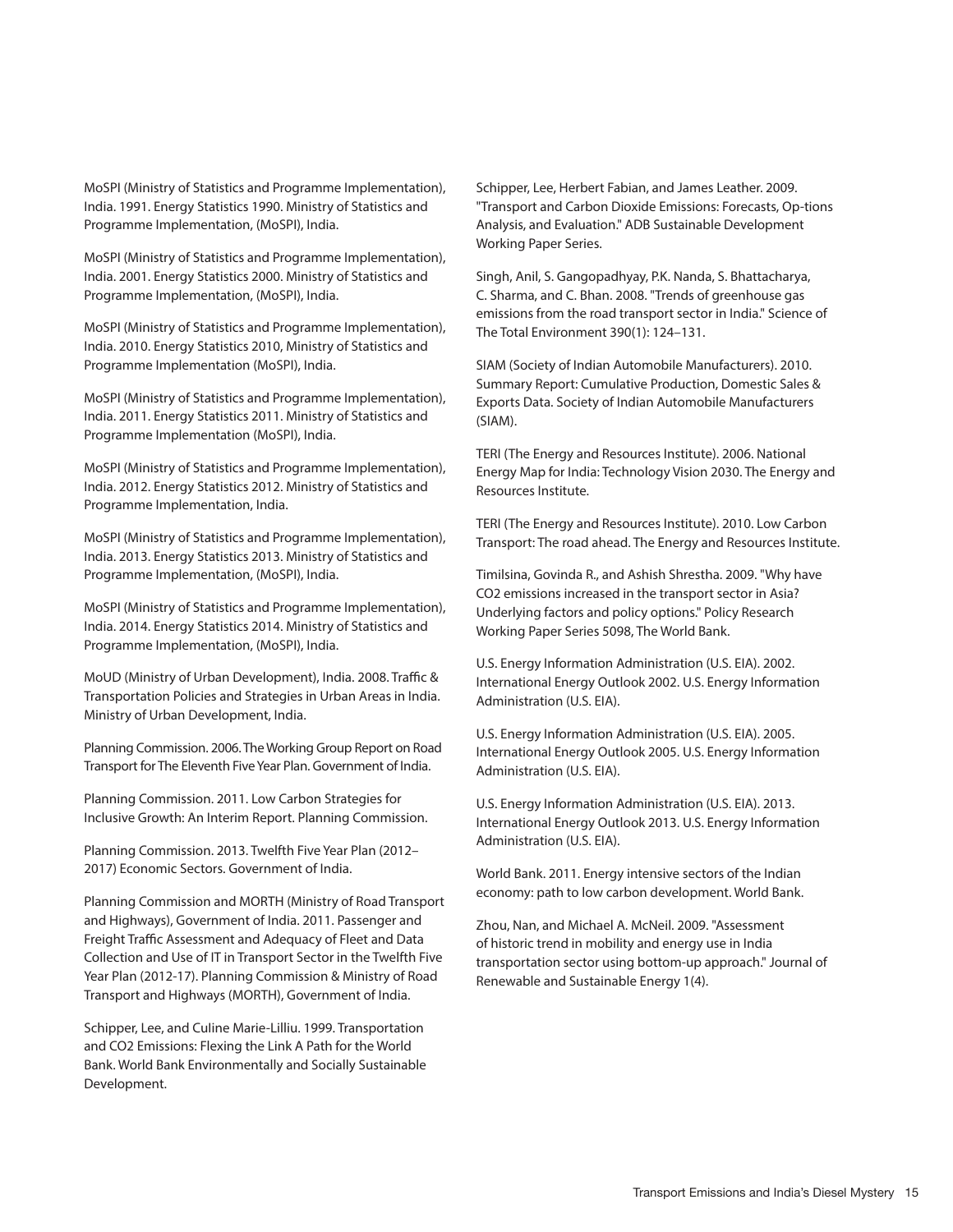MoSPI (Ministry of Statistics and Programme Implementation), India. 1991. Energy Statistics 1990. Ministry of Statistics and Programme Implementation, (MoSPI), India.

MoSPI (Ministry of Statistics and Programme Implementation), India. 2001. Energy Statistics 2000. Ministry of Statistics and Programme Implementation, (MoSPI), India.

MoSPI (Ministry of Statistics and Programme Implementation), India. 2010. Energy Statistics 2010, Ministry of Statistics and Programme Implementation (MoSPI), India.

MoSPI (Ministry of Statistics and Programme Implementation), India. 2011. Energy Statistics 2011. Ministry of Statistics and Programme Implementation (MoSPI), India.

MoSPI (Ministry of Statistics and Programme Implementation), India. 2012. Energy Statistics 2012. Ministry of Statistics and Programme Implementation, India.

MoSPI (Ministry of Statistics and Programme Implementation), India. 2013. Energy Statistics 2013. Ministry of Statistics and Programme Implementation, (MoSPI), India.

MoSPI (Ministry of Statistics and Programme Implementation), India. 2014. Energy Statistics 2014. Ministry of Statistics and Programme Implementation, (MoSPI), India.

MoUD (Ministry of Urban Development), India. 2008. Traffic & Transportation Policies and Strategies in Urban Areas in India. Ministry of Urban Development, India.

Planning Commission. 2006. The Working Group Report on Road Transport for The Eleventh Five Year Plan. Government of India.

Planning Commission. 2011. Low Carbon Strategies for Inclusive Growth: An Interim Report. Planning Commission.

Planning Commission. 2013. Twelfth Five Year Plan (2012– 2017) Economic Sectors. Government of India.

Planning Commission and MORTH (Ministry of Road Transport and Highways), Government of India. 2011. Passenger and Freight Traffic Assessment and Adequacy of Fleet and Data Collection and Use of IT in Transport Sector in the Twelfth Five Year Plan (2012-17). Planning Commission & Ministry of Road Transport and Highways (MORTH), Government of India.

Schipper, Lee, and CuIine Marie-Lilliu. 1999. Transportation and CO2 Emissions: Flexing the Link A Path for the World Bank. World Bank Environmentally and Socially Sustainable Development.

Schipper, Lee, Herbert Fabian, and James Leather. 2009. "Transport and Carbon Dioxide Emissions: Forecasts, Op-tions Analysis, and Evaluation." ADB Sustainable Development Working Paper Series.

Singh, Anil, S. Gangopadhyay, P.K. Nanda, S. Bhattacharya, C. Sharma, and C. Bhan. 2008. "Trends of greenhouse gas emissions from the road transport sector in India." Science of The Total Environment 390(1): 124–131.

SIAM (Society of Indian Automobile Manufacturers). 2010. Summary Report: Cumulative Production, Domestic Sales & Exports Data. Society of Indian Automobile Manufacturers (SIAM).

TERI (The Energy and Resources Institute). 2006. National Energy Map for India: Technology Vision 2030. The Energy and Resources Institute.

TERI (The Energy and Resources Institute). 2010. Low Carbon Transport: The road ahead. The Energy and Resources Institute.

Timilsina, Govinda R., and Ashish Shrestha. 2009. "Why have CO2 emissions increased in the transport sector in Asia? Underlying factors and policy options." Policy Research Working Paper Series 5098, The World Bank.

U.S. Energy Information Administration (U.S. EIA). 2002. International Energy Outlook 2002. U.S. Energy Information Administration (U.S. EIA).

U.S. Energy Information Administration (U.S. EIA). 2005. International Energy Outlook 2005. U.S. Energy Information Administration (U.S. EIA).

U.S. Energy Information Administration (U.S. EIA). 2013. International Energy Outlook 2013. U.S. Energy Information Administration (U.S. EIA).

World Bank. 2011. Energy intensive sectors of the Indian economy: path to low carbon development. World Bank.

Zhou, Nan, and Michael A. McNeil. 2009. "Assessment of historic trend in mobility and energy use in India transportation sector using bottom-up approach." Journal of Renewable and Sustainable Energy 1(4).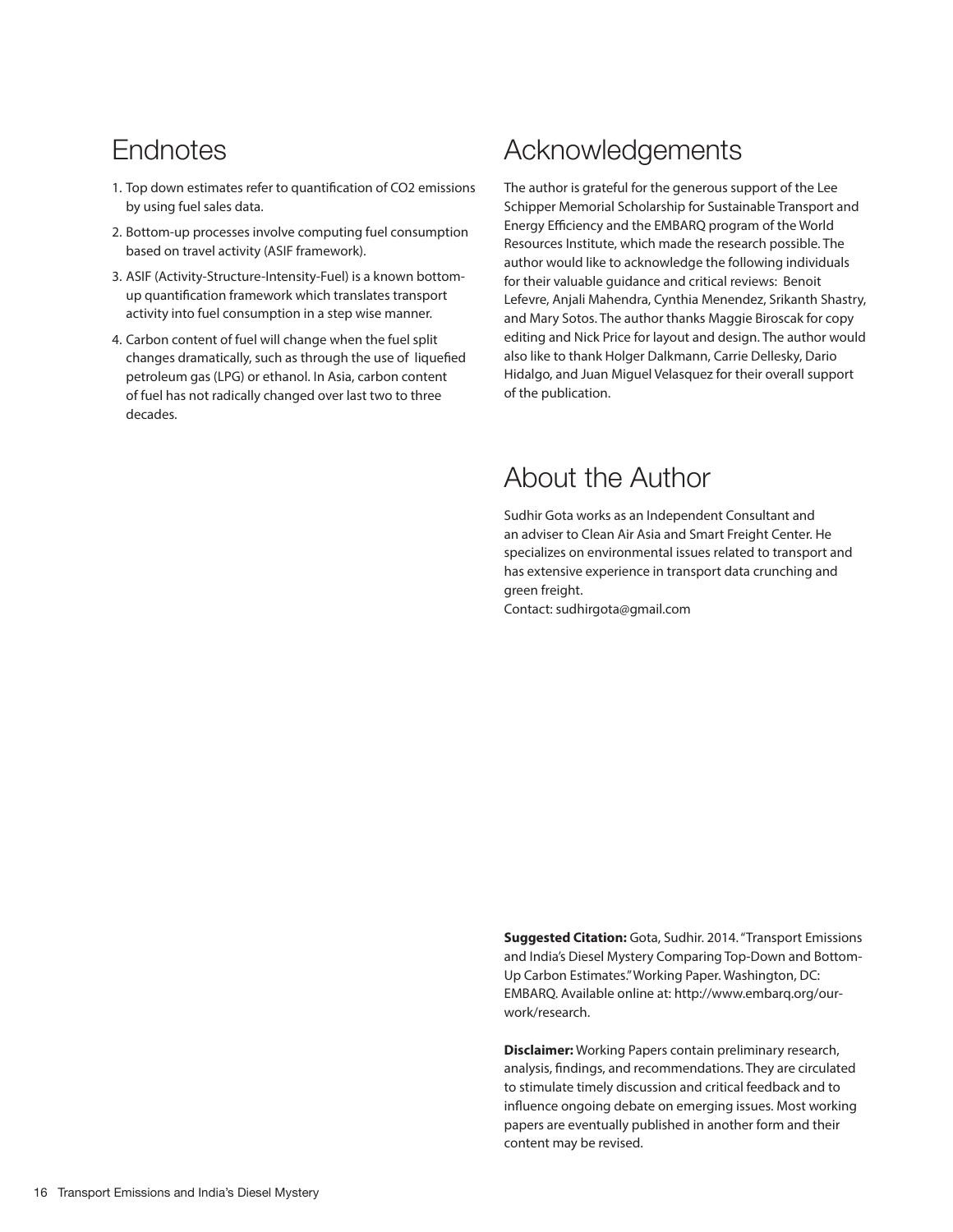## **Endnotes**

- 1. Top down estimates refer to quantification of CO2 emissions by using fuel sales data.
- 2. Bottom-up processes involve computing fuel consumption based on travel activity (ASIF framework).
- 3. ASIF (Activity-Structure-Intensity-Fuel) is a known bottomup quantification framework which translates transport activity into fuel consumption in a step wise manner.
- 4. Carbon content of fuel will change when the fuel split changes dramatically, such as through the use of liquefied petroleum gas (LPG) or ethanol. In Asia, carbon content of fuel has not radically changed over last two to three decades.

## Acknowledgements

The author is grateful for the generous support of the Lee Schipper Memorial Scholarship for Sustainable Transport and Energy Efficiency and the EMBARQ program of the World Resources Institute, which made the research possible. The author would like to acknowledge the following individuals for their valuable guidance and critical reviews: Benoit Lefevre, Anjali Mahendra, Cynthia Menendez, Srikanth Shastry, and Mary Sotos. The author thanks Maggie Biroscak for copy editing and Nick Price for layout and design. The author would also like to thank Holger Dalkmann, Carrie Dellesky, Dario Hidalgo, and Juan Miguel Velasquez for their overall support of the publication.

## About the Author

Sudhir Gota works as an Independent Consultant and an adviser to Clean Air Asia and Smart Freight Center. He specializes on environmental issues related to transport and has extensive experience in transport data crunching and green freight.

Contact: sudhirgota@gmail.com

**Suggested Citation:** Gota, Sudhir. 2014. "Transport Emissions and India's Diesel Mystery Comparing Top-Down and Bottom-Up Carbon Estimates." Working Paper. Washington, DC: EMBARQ. Available online at: http://www.embarq.org/ourwork/research.

**Disclaimer:** Working Papers contain preliminary research, analysis, findings, and recommendations. They are circulated to stimulate timely discussion and critical feedback and to influence ongoing debate on emerging issues. Most working papers are eventually published in another form and their content may be revised.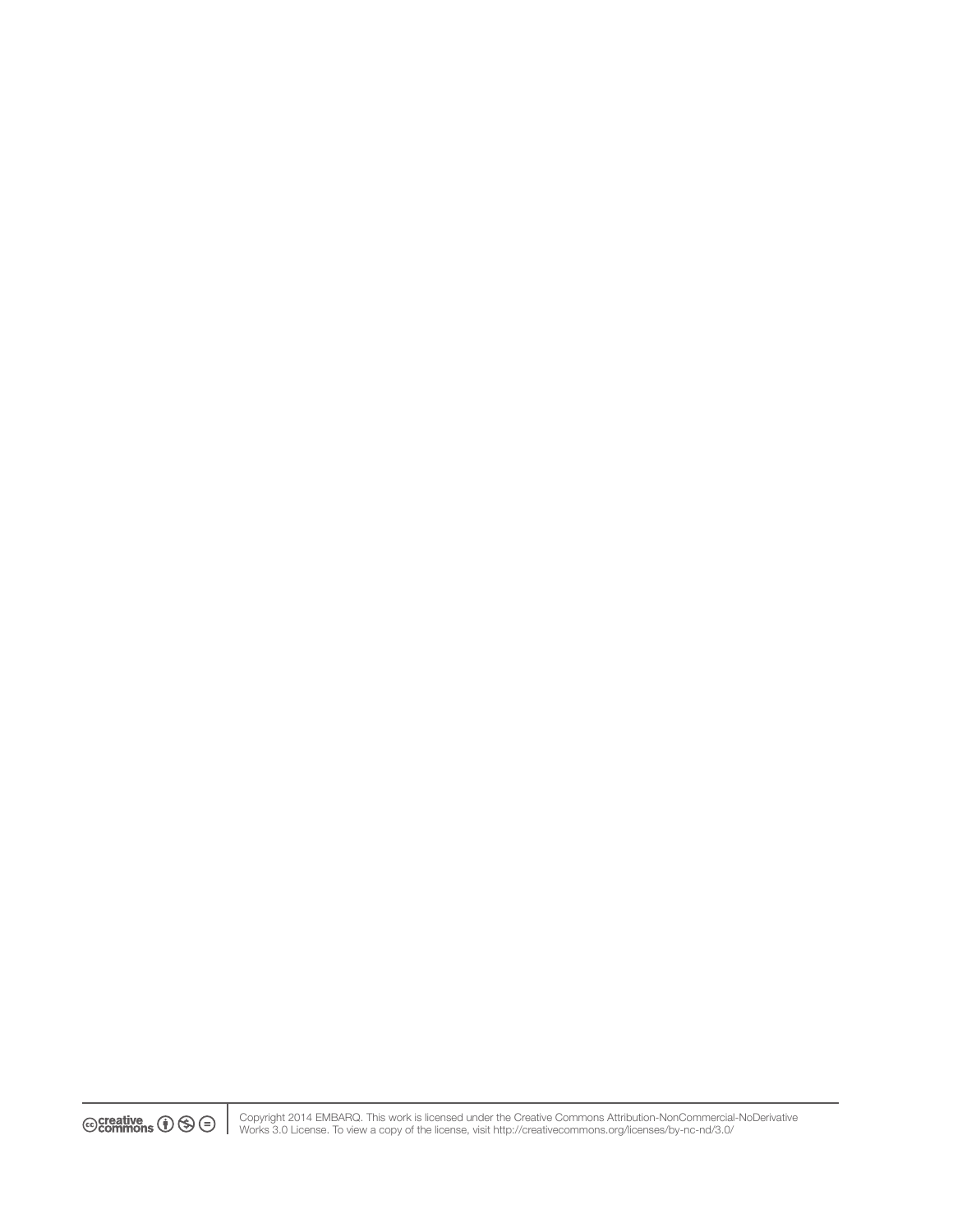$\circledcirc$  creative  $\bullet$   $\circledcirc$   $\circ$ 

Copyright 2014 EMBARQ. This work is licensed under the Creative Commons Attribution-NonCommercial-NoDerivative Works 3.0 License. To view a copy of the license, visit http://creativecommons.org/licenses/by-nc-nd/3.0/